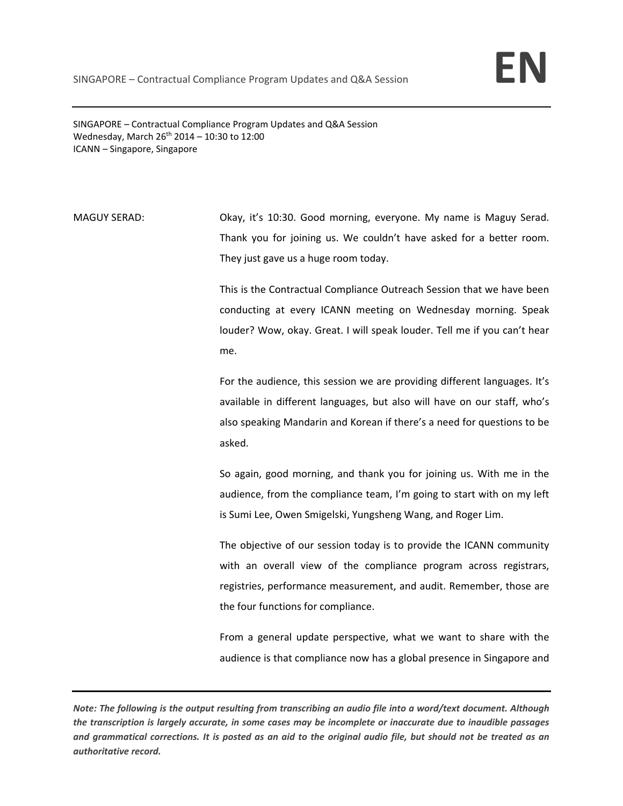SINGAPORE – Contractual Compliance Program Updates and Q&A Session Wednesday, March  $26^{th}$  2014 – 10:30 to 12:00 ICANN – Singapore, Singapore

MAGUY SERAD: Okay, it's 10:30. Good morning, everyone. My name is Maguy Serad. Thank you for joining us. We couldn't have asked for a better room. They just gave us a huge room today.

> This is the Contractual Compliance Outreach Session that we have been conducting at every ICANN meeting on Wednesday morning. Speak louder? Wow, okay. Great. I will speak louder. Tell me if you can't hear me.

> For the audience, this session we are providing different languages. It's available in different languages, but also will have on our staff, who's also speaking Mandarin and Korean if there's a need for questions to be asked.

> So again, good morning, and thank you for joining us. With me in the audience, from the compliance team, I'm going to start with on my left is Sumi Lee, Owen Smigelski, Yungsheng Wang, and Roger Lim.

> The objective of our session today is to provide the ICANN community with an overall view of the compliance program across registrars, registries, performance measurement, and audit. Remember, those are the four functions for compliance.

> From a general update perspective, what we want to share with the audience is that compliance now has a global presence in Singapore and

Note: The following is the output resulting from transcribing an audio file into a word/text document. Although the transcription is largely accurate, in some cases may be incomplete or inaccurate due to inaudible passages and grammatical corrections. It is posted as an aid to the original audio file, but should not be treated as an *authoritative record.*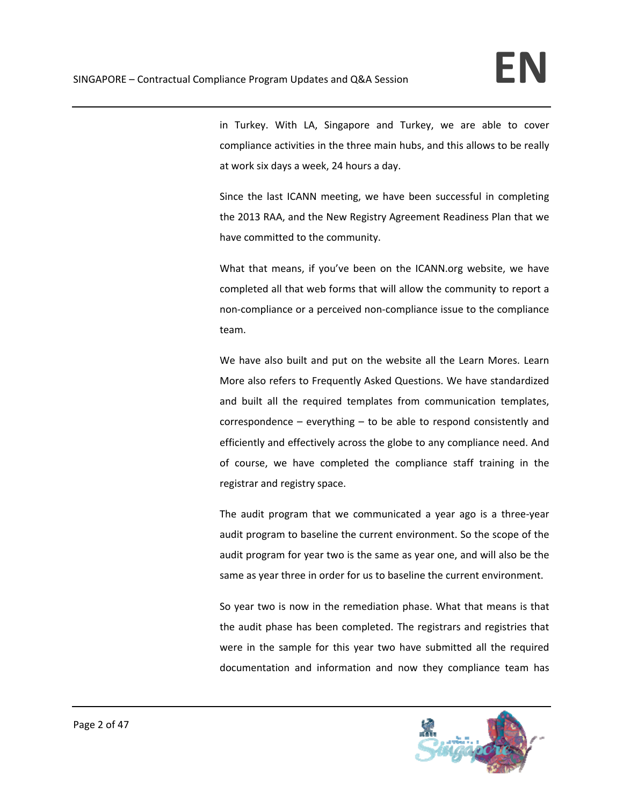in Turkey. With LA, Singapore and Turkey, we are able to cover compliance activities in the three main hubs, and this allows to be really at work six days a week, 24 hours a day.

Since the last ICANN meeting, we have been successful in completing the 2013 RAA, and the New Registry Agreement Readiness Plan that we have committed to the community.

What that means, if you've been on the ICANN.org website, we have completed all that web forms that will allow the community to report a non‐compliance or a perceived non‐compliance issue to the compliance team.

We have also built and put on the website all the Learn Mores. Learn More also refers to Frequently Asked Questions. We have standardized and built all the required templates from communication templates, correspondence – everything – to be able to respond consistently and efficiently and effectively across the globe to any compliance need. And of course, we have completed the compliance staff training in the registrar and registry space.

The audit program that we communicated a year ago is a three‐year audit program to baseline the current environment. So the scope of the audit program for year two is the same as year one, and will also be the same as year three in order for us to baseline the current environment.

So year two is now in the remediation phase. What that means is that the audit phase has been completed. The registrars and registries that were in the sample for this year two have submitted all the required documentation and information and now they compliance team has

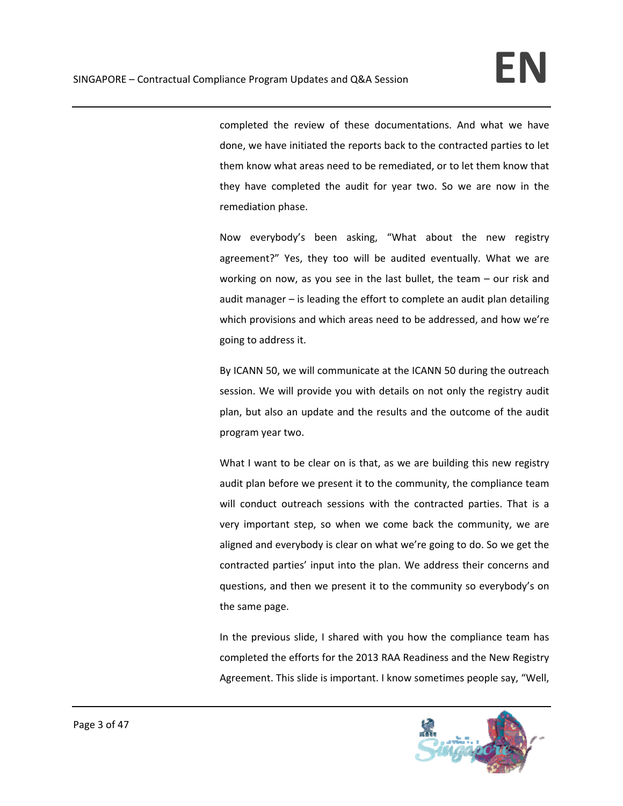completed the review of these documentations. And what we have done, we have initiated the reports back to the contracted parties to let them know what areas need to be remediated, or to let them know that they have completed the audit for year two. So we are now in the remediation phase.

Now everybody's been asking, "What about the new registry agreement?" Yes, they too will be audited eventually. What we are working on now, as you see in the last bullet, the team – our risk and audit manager – is leading the effort to complete an audit plan detailing which provisions and which areas need to be addressed, and how we're going to address it.

By ICANN 50, we will communicate at the ICANN 50 during the outreach session. We will provide you with details on not only the registry audit plan, but also an update and the results and the outcome of the audit program year two.

What I want to be clear on is that, as we are building this new registry audit plan before we present it to the community, the compliance team will conduct outreach sessions with the contracted parties. That is a very important step, so when we come back the community, we are aligned and everybody is clear on what we're going to do. So we get the contracted parties' input into the plan. We address their concerns and questions, and then we present it to the community so everybody's on the same page.

In the previous slide, I shared with you how the compliance team has completed the efforts for the 2013 RAA Readiness and the New Registry Agreement. This slide is important. I know sometimes people say, "Well,

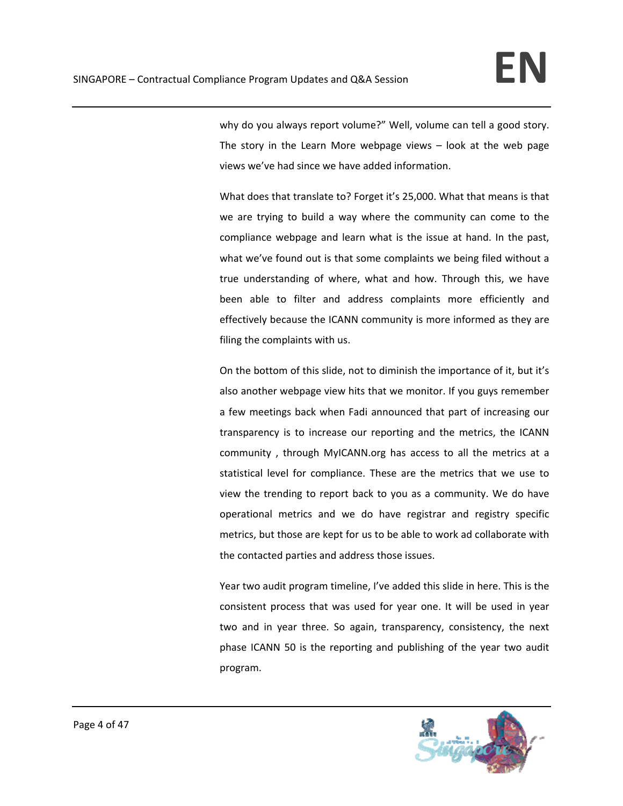why do you always report volume?" Well, volume can tell a good story. The story in the Learn More webpage views  $-$  look at the web page views we've had since we have added information.

What does that translate to? Forget it's 25,000. What that means is that we are trying to build a way where the community can come to the compliance webpage and learn what is the issue at hand. In the past, what we've found out is that some complaints we being filed without a true understanding of where, what and how. Through this, we have been able to filter and address complaints more efficiently and effectively because the ICANN community is more informed as they are filing the complaints with us.

On the bottom of this slide, not to diminish the importance of it, but it's also another webpage view hits that we monitor. If you guys remember a few meetings back when Fadi announced that part of increasing our transparency is to increase our reporting and the metrics, the ICANN community , through MyICANN.org has access to all the metrics at a statistical level for compliance. These are the metrics that we use to view the trending to report back to you as a community. We do have operational metrics and we do have registrar and registry specific metrics, but those are kept for us to be able to work ad collaborate with the contacted parties and address those issues.

Year two audit program timeline, I've added this slide in here. This is the consistent process that was used for year one. It will be used in year two and in year three. So again, transparency, consistency, the next phase ICANN 50 is the reporting and publishing of the year two audit program.

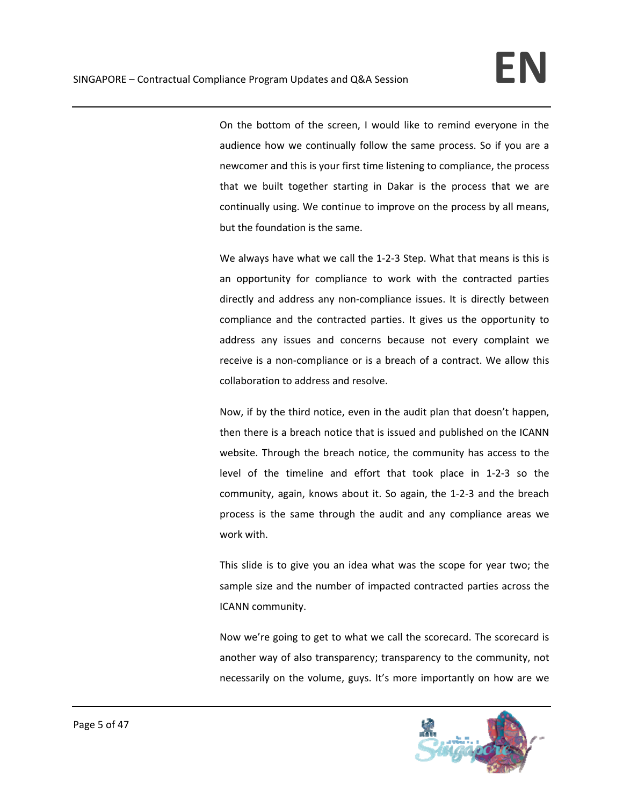On the bottom of the screen, I would like to remind everyone in the audience how we continually follow the same process. So if you are a newcomer and this is your first time listening to compliance, the process that we built together starting in Dakar is the process that we are continually using. We continue to improve on the process by all means, but the foundation is the same.

We always have what we call the 1-2-3 Step. What that means is this is an opportunity for compliance to work with the contracted parties directly and address any non‐compliance issues. It is directly between compliance and the contracted parties. It gives us the opportunity to address any issues and concerns because not every complaint we receive is a non‐compliance or is a breach of a contract. We allow this collaboration to address and resolve.

Now, if by the third notice, even in the audit plan that doesn't happen, then there is a breach notice that is issued and published on the ICANN website. Through the breach notice, the community has access to the level of the timeline and effort that took place in 1‐2‐3 so the community, again, knows about it. So again, the 1‐2‐3 and the breach process is the same through the audit and any compliance areas we work with.

This slide is to give you an idea what was the scope for year two; the sample size and the number of impacted contracted parties across the ICANN community.

Now we're going to get to what we call the scorecard. The scorecard is another way of also transparency; transparency to the community, not necessarily on the volume, guys. It's more importantly on how are we

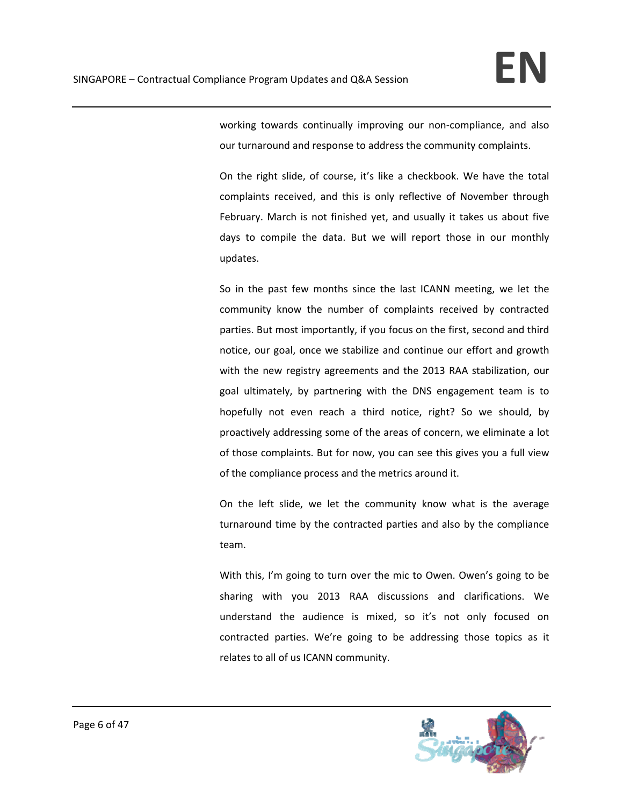working towards continually improving our non-compliance, and also our turnaround and response to address the community complaints.

On the right slide, of course, it's like a checkbook. We have the total complaints received, and this is only reflective of November through February. March is not finished yet, and usually it takes us about five days to compile the data. But we will report those in our monthly updates.

So in the past few months since the last ICANN meeting, we let the community know the number of complaints received by contracted parties. But most importantly, if you focus on the first, second and third notice, our goal, once we stabilize and continue our effort and growth with the new registry agreements and the 2013 RAA stabilization, our goal ultimately, by partnering with the DNS engagement team is to hopefully not even reach a third notice, right? So we should, by proactively addressing some of the areas of concern, we eliminate a lot of those complaints. But for now, you can see this gives you a full view of the compliance process and the metrics around it.

On the left slide, we let the community know what is the average turnaround time by the contracted parties and also by the compliance team.

With this, I'm going to turn over the mic to Owen. Owen's going to be sharing with you 2013 RAA discussions and clarifications. We understand the audience is mixed, so it's not only focused on contracted parties. We're going to be addressing those topics as it relates to all of us ICANN community.

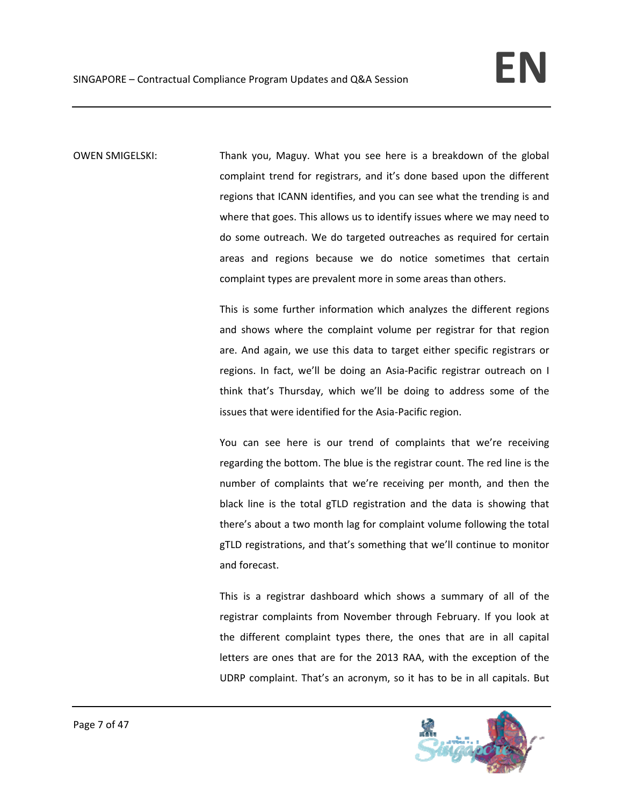OWEN SMIGELSKI: Thank you, Maguy. What you see here is a breakdown of the global complaint trend for registrars, and it's done based upon the different regions that ICANN identifies, and you can see what the trending is and where that goes. This allows us to identify issues where we may need to do some outreach. We do targeted outreaches as required for certain areas and regions because we do notice sometimes that certain complaint types are prevalent more in some areas than others.

> This is some further information which analyzes the different regions and shows where the complaint volume per registrar for that region are. And again, we use this data to target either specific registrars or regions. In fact, we'll be doing an Asia‐Pacific registrar outreach on I think that's Thursday, which we'll be doing to address some of the issues that were identified for the Asia‐Pacific region.

> You can see here is our trend of complaints that we're receiving regarding the bottom. The blue is the registrar count. The red line is the number of complaints that we're receiving per month, and then the black line is the total gTLD registration and the data is showing that there's about a two month lag for complaint volume following the total gTLD registrations, and that's something that we'll continue to monitor and forecast.

> This is a registrar dashboard which shows a summary of all of the registrar complaints from November through February. If you look at the different complaint types there, the ones that are in all capital letters are ones that are for the 2013 RAA, with the exception of the UDRP complaint. That's an acronym, so it has to be in all capitals. But

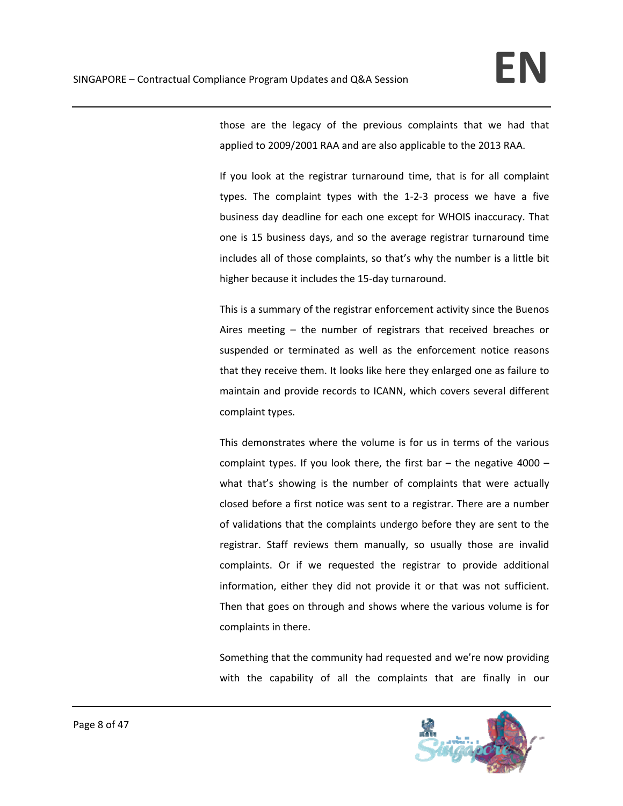those are the legacy of the previous complaints that we had that applied to 2009/2001 RAA and are also applicable to the 2013 RAA.

If you look at the registrar turnaround time, that is for all complaint types. The complaint types with the 1‐2‐3 process we have a five business day deadline for each one except for WHOIS inaccuracy. That one is 15 business days, and so the average registrar turnaround time includes all of those complaints, so that's why the number is a little bit higher because it includes the 15‐day turnaround.

This is a summary of the registrar enforcement activity since the Buenos Aires meeting – the number of registrars that received breaches or suspended or terminated as well as the enforcement notice reasons that they receive them. It looks like here they enlarged one as failure to maintain and provide records to ICANN, which covers several different complaint types.

This demonstrates where the volume is for us in terms of the various complaint types. If you look there, the first bar  $-$  the negative 4000  $$ what that's showing is the number of complaints that were actually closed before a first notice was sent to a registrar. There are a number of validations that the complaints undergo before they are sent to the registrar. Staff reviews them manually, so usually those are invalid complaints. Or if we requested the registrar to provide additional information, either they did not provide it or that was not sufficient. Then that goes on through and shows where the various volume is for complaints in there.

Something that the community had requested and we're now providing with the capability of all the complaints that are finally in our

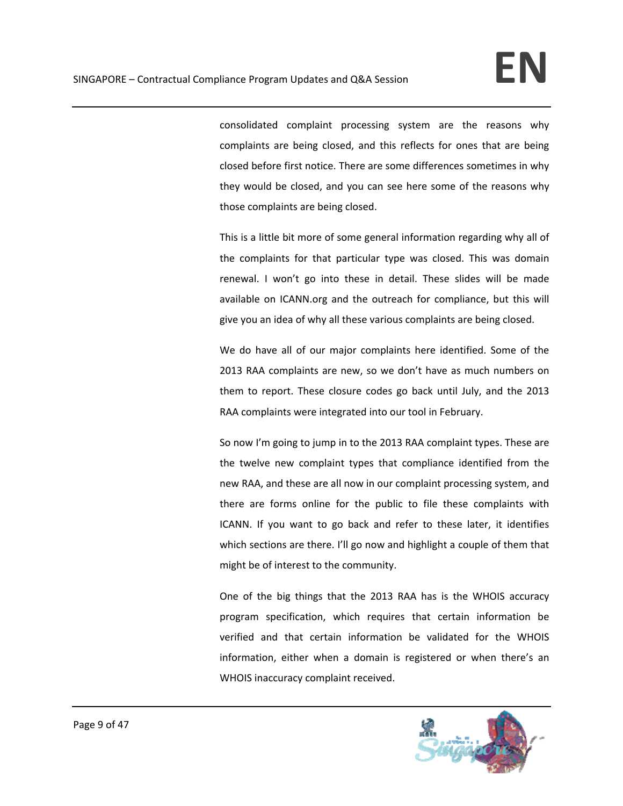consolidated complaint processing system are the reasons why complaints are being closed, and this reflects for ones that are being closed before first notice. There are some differences sometimes in why they would be closed, and you can see here some of the reasons why those complaints are being closed.

This is a little bit more of some general information regarding why all of the complaints for that particular type was closed. This was domain renewal. I won't go into these in detail. These slides will be made available on ICANN.org and the outreach for compliance, but this will give you an idea of why all these various complaints are being closed.

We do have all of our major complaints here identified. Some of the 2013 RAA complaints are new, so we don't have as much numbers on them to report. These closure codes go back until July, and the 2013 RAA complaints were integrated into our tool in February.

So now I'm going to jump in to the 2013 RAA complaint types. These are the twelve new complaint types that compliance identified from the new RAA, and these are all now in our complaint processing system, and there are forms online for the public to file these complaints with ICANN. If you want to go back and refer to these later, it identifies which sections are there. I'll go now and highlight a couple of them that might be of interest to the community.

One of the big things that the 2013 RAA has is the WHOIS accuracy program specification, which requires that certain information be verified and that certain information be validated for the WHOIS information, either when a domain is registered or when there's an WHOIS inaccuracy complaint received.

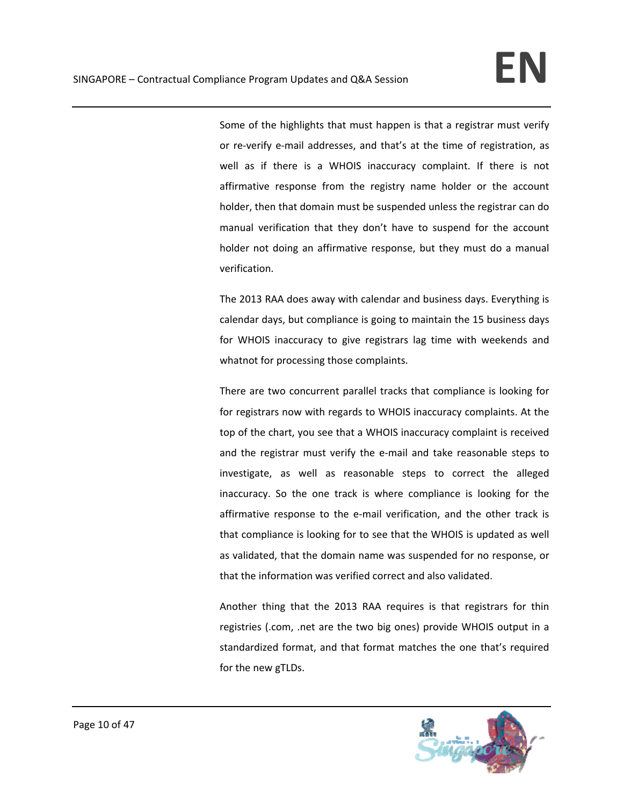Some of the highlights that must happen is that a registrar must verify or re‐verify e‐mail addresses, and that's at the time of registration, as well as if there is a WHOIS inaccuracy complaint. If there is not affirmative response from the registry name holder or the account holder, then that domain must be suspended unless the registrar can do manual verification that they don't have to suspend for the account holder not doing an affirmative response, but they must do a manual verification.

The 2013 RAA does away with calendar and business days. Everything is calendar days, but compliance is going to maintain the 15 business days for WHOIS inaccuracy to give registrars lag time with weekends and whatnot for processing those complaints.

There are two concurrent parallel tracks that compliance is looking for for registrars now with regards to WHOIS inaccuracy complaints. At the top of the chart, you see that a WHOIS inaccuracy complaint is received and the registrar must verify the e-mail and take reasonable steps to investigate, as well as reasonable steps to correct the alleged inaccuracy. So the one track is where compliance is looking for the affirmative response to the e‐mail verification, and the other track is that compliance is looking for to see that the WHOIS is updated as well as validated, that the domain name was suspended for no response, or that the information was verified correct and also validated.

Another thing that the 2013 RAA requires is that registrars for thin registries (.com, .net are the two big ones) provide WHOIS output in a standardized format, and that format matches the one that's required for the new gTLDs.

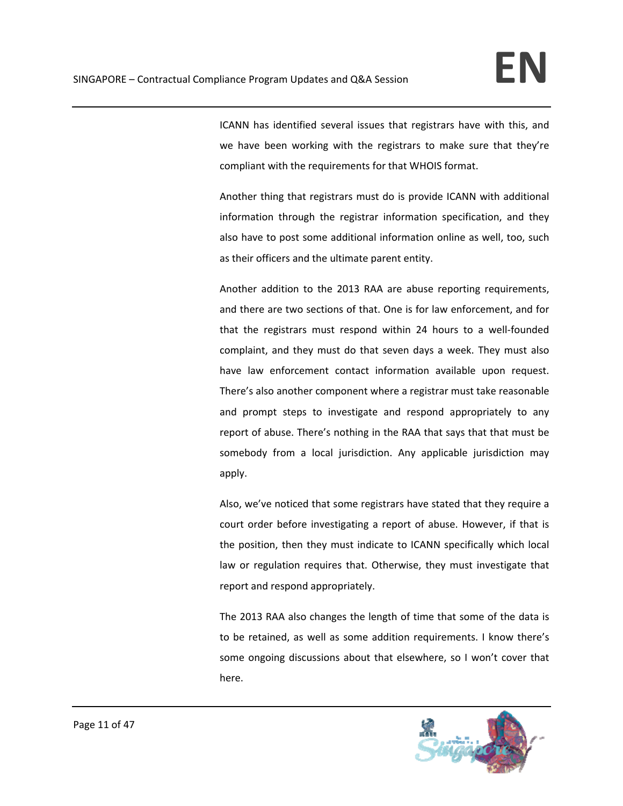ICANN has identified several issues that registrars have with this, and we have been working with the registrars to make sure that they're compliant with the requirements for that WHOIS format.

Another thing that registrars must do is provide ICANN with additional information through the registrar information specification, and they also have to post some additional information online as well, too, such as their officers and the ultimate parent entity.

Another addition to the 2013 RAA are abuse reporting requirements, and there are two sections of that. One is for law enforcement, and for that the registrars must respond within 24 hours to a well‐founded complaint, and they must do that seven days a week. They must also have law enforcement contact information available upon request. There's also another component where a registrar must take reasonable and prompt steps to investigate and respond appropriately to any report of abuse. There's nothing in the RAA that says that that must be somebody from a local jurisdiction. Any applicable jurisdiction may apply.

Also, we've noticed that some registrars have stated that they require a court order before investigating a report of abuse. However, if that is the position, then they must indicate to ICANN specifically which local law or regulation requires that. Otherwise, they must investigate that report and respond appropriately.

The 2013 RAA also changes the length of time that some of the data is to be retained, as well as some addition requirements. I know there's some ongoing discussions about that elsewhere, so I won't cover that here.

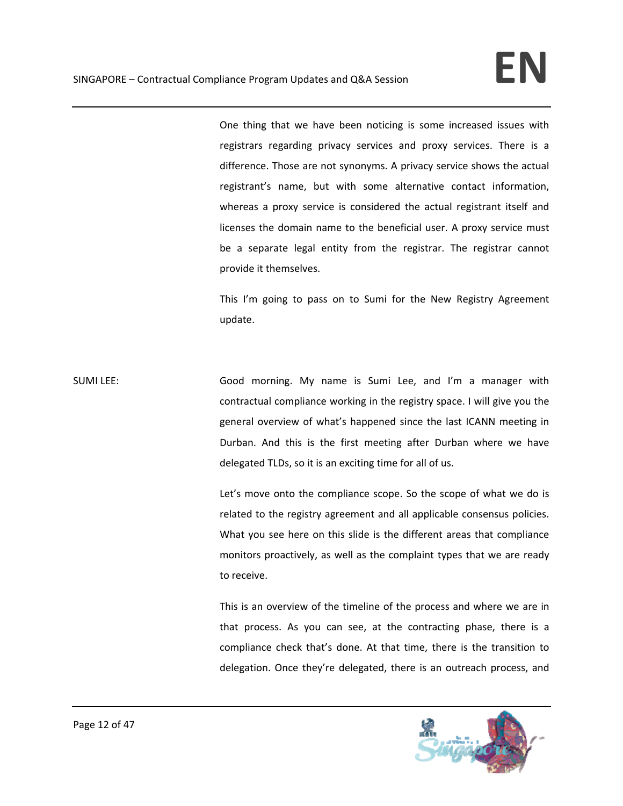One thing that we have been noticing is some increased issues with registrars regarding privacy services and proxy services. There is a difference. Those are not synonyms. A privacy service shows the actual registrant's name, but with some alternative contact information, whereas a proxy service is considered the actual registrant itself and licenses the domain name to the beneficial user. A proxy service must be a separate legal entity from the registrar. The registrar cannot provide it themselves.

This I'm going to pass on to Sumi for the New Registry Agreement update.

SUMI LEE: Good morning. My name is Sumi Lee, and I'm a manager with contractual compliance working in the registry space. I will give you the general overview of what's happened since the last ICANN meeting in Durban. And this is the first meeting after Durban where we have delegated TLDs, so it is an exciting time for all of us.

> Let's move onto the compliance scope. So the scope of what we do is related to the registry agreement and all applicable consensus policies. What you see here on this slide is the different areas that compliance monitors proactively, as well as the complaint types that we are ready to receive.

> This is an overview of the timeline of the process and where we are in that process. As you can see, at the contracting phase, there is a compliance check that's done. At that time, there is the transition to delegation. Once they're delegated, there is an outreach process, and

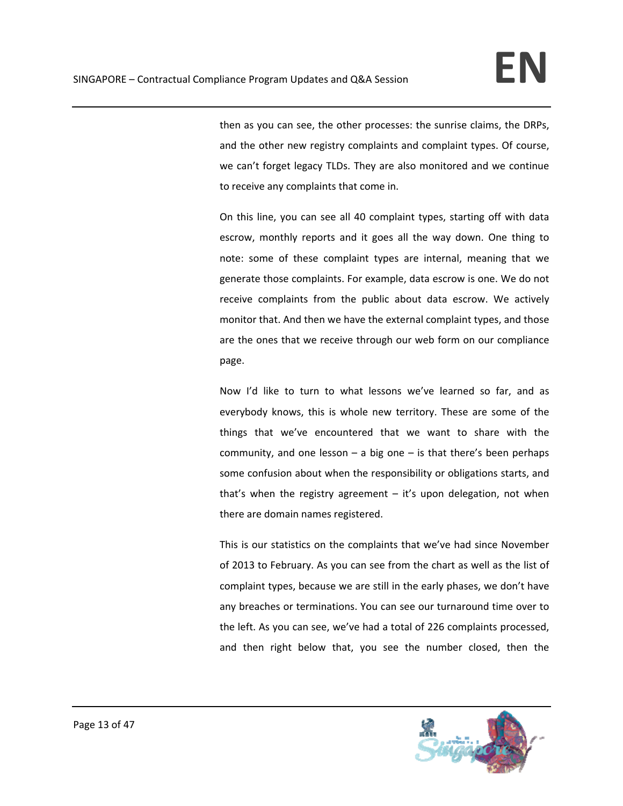then as you can see, the other processes: the sunrise claims, the DRPs, and the other new registry complaints and complaint types. Of course, we can't forget legacy TLDs. They are also monitored and we continue to receive any complaints that come in.

On this line, you can see all 40 complaint types, starting off with data escrow, monthly reports and it goes all the way down. One thing to note: some of these complaint types are internal, meaning that we generate those complaints. For example, data escrow is one. We do not receive complaints from the public about data escrow. We actively monitor that. And then we have the external complaint types, and those are the ones that we receive through our web form on our compliance page.

Now I'd like to turn to what lessons we've learned so far, and as everybody knows, this is whole new territory. These are some of the things that we've encountered that we want to share with the community, and one lesson  $-$  a big one  $-$  is that there's been perhaps some confusion about when the responsibility or obligations starts, and that's when the registry agreement  $-$  it's upon delegation, not when there are domain names registered.

This is our statistics on the complaints that we've had since November of 2013 to February. As you can see from the chart as well as the list of complaint types, because we are still in the early phases, we don't have any breaches or terminations. You can see our turnaround time over to the left. As you can see, we've had a total of 226 complaints processed, and then right below that, you see the number closed, then the

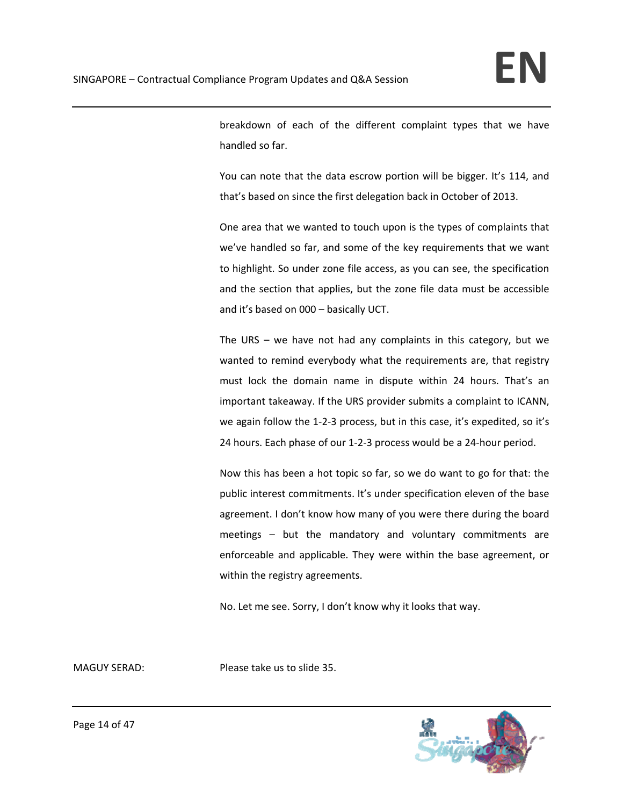breakdown of each of the different complaint types that we have handled so far.

You can note that the data escrow portion will be bigger. It's 114, and that's based on since the first delegation back in October of 2013.

One area that we wanted to touch upon is the types of complaints that we've handled so far, and some of the key requirements that we want to highlight. So under zone file access, as you can see, the specification and the section that applies, but the zone file data must be accessible and it's based on 000 – basically UCT.

The URS – we have not had any complaints in this category, but we wanted to remind everybody what the requirements are, that registry must lock the domain name in dispute within 24 hours. That's an important takeaway. If the URS provider submits a complaint to ICANN, we again follow the 1-2-3 process, but in this case, it's expedited, so it's 24 hours. Each phase of our 1‐2‐3 process would be a 24‐hour period.

Now this has been a hot topic so far, so we do want to go for that: the public interest commitments. It's under specification eleven of the base agreement. I don't know how many of you were there during the board meetings – but the mandatory and voluntary commitments are enforceable and applicable. They were within the base agreement, or within the registry agreements.

No. Let me see. Sorry, I don't know why it looks that way.

MAGUY SERAD: Please take us to slide 35.

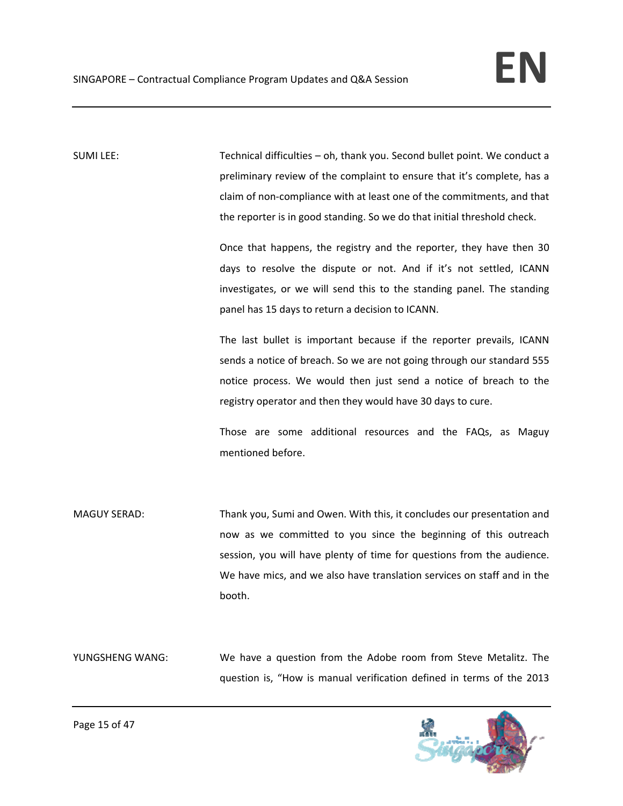SUMI LEE: Technical difficulties – oh, thank you. Second bullet point. We conduct a preliminary review of the complaint to ensure that it's complete, has a claim of non‐compliance with at least one of the commitments, and that the reporter is in good standing. So we do that initial threshold check.

> Once that happens, the registry and the reporter, they have then 30 days to resolve the dispute or not. And if it's not settled, ICANN investigates, or we will send this to the standing panel. The standing panel has 15 days to return a decision to ICANN.

> The last bullet is important because if the reporter prevails, ICANN sends a notice of breach. So we are not going through our standard 555 notice process. We would then just send a notice of breach to the registry operator and then they would have 30 days to cure.

> Those are some additional resources and the FAQs, as Maguy mentioned before.

MAGUY SERAD: Thank you, Sumi and Owen. With this, it concludes our presentation and now as we committed to you since the beginning of this outreach session, you will have plenty of time for questions from the audience. We have mics, and we also have translation services on staff and in the booth.

YUNGSHENG WANG: We have a question from the Adobe room from Steve Metalitz. The question is, "How is manual verification defined in terms of the 2013

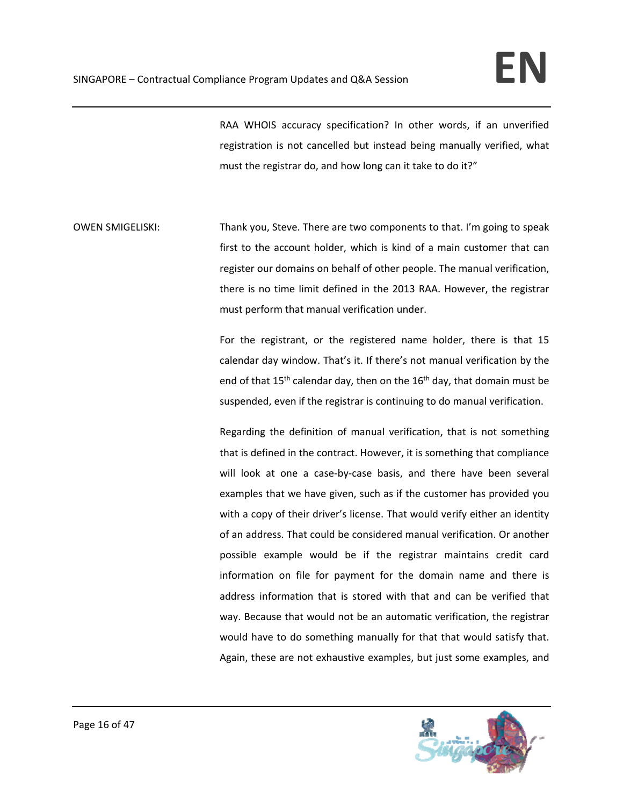RAA WHOIS accuracy specification? In other words, if an unverified registration is not cancelled but instead being manually verified, what must the registrar do, and how long can it take to do it?"

OWEN SMIGELISKI: Thank you, Steve. There are two components to that. I'm going to speak first to the account holder, which is kind of a main customer that can register our domains on behalf of other people. The manual verification, there is no time limit defined in the 2013 RAA. However, the registrar must perform that manual verification under.

> For the registrant, or the registered name holder, there is that 15 calendar day window. That's it. If there's not manual verification by the end of that  $15^{th}$  calendar day, then on the  $16^{th}$  day, that domain must be suspended, even if the registrar is continuing to do manual verification.

> Regarding the definition of manual verification, that is not something that is defined in the contract. However, it is something that compliance will look at one a case-by-case basis, and there have been several examples that we have given, such as if the customer has provided you with a copy of their driver's license. That would verify either an identity of an address. That could be considered manual verification. Or another possible example would be if the registrar maintains credit card information on file for payment for the domain name and there is address information that is stored with that and can be verified that way. Because that would not be an automatic verification, the registrar would have to do something manually for that that would satisfy that. Again, these are not exhaustive examples, but just some examples, and

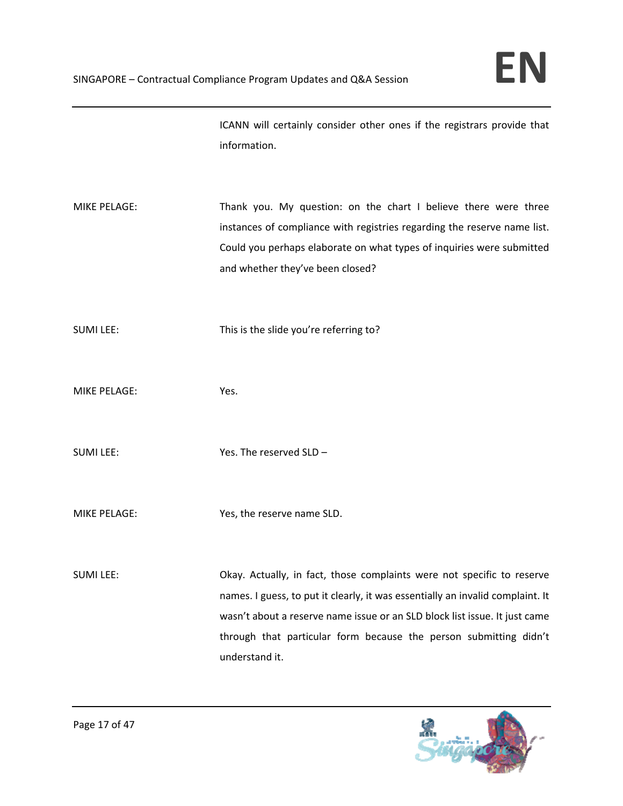ICANN will certainly consider other ones if the registrars provide that information.

MIKE PELAGE: Thank you. My question: on the chart I believe there were three instances of compliance with registries regarding the reserve name list. Could you perhaps elaborate on what types of inquiries were submitted and whether they've been closed?

SUMI LEE: This is the slide you're referring to?

MIKE PELAGE: Yes.

SUMI LEE: Yes. The reserved SLD –

MIKE PELAGE: Yes, the reserve name SLD.

SUMI LEE: Okay. Actually, in fact, those complaints were not specific to reserve names. I guess, to put it clearly, it was essentially an invalid complaint. It wasn't about a reserve name issue or an SLD block list issue. It just came through that particular form because the person submitting didn't understand it.

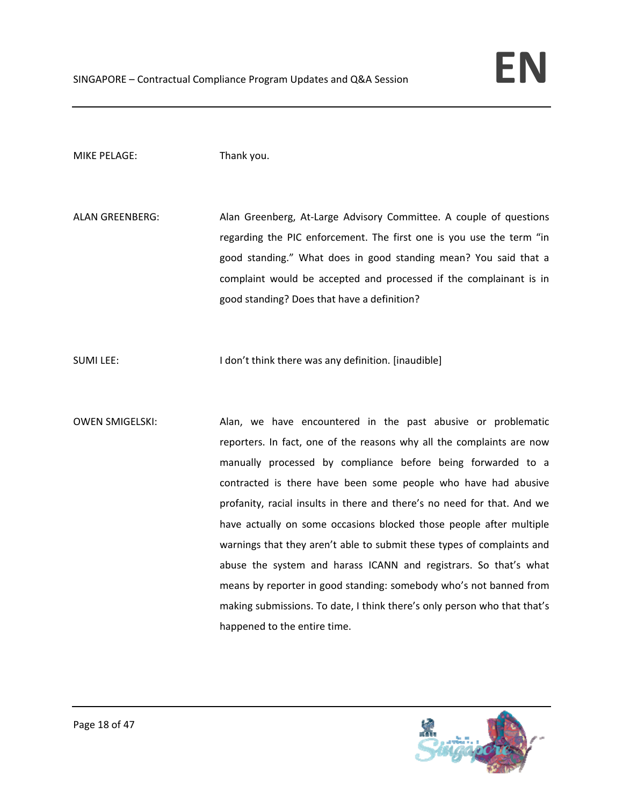# MIKE PELAGE: Thank you.

ALAN GREENBERG: Alan Greenberg, At-Large Advisory Committee. A couple of questions regarding the PIC enforcement. The first one is you use the term "in good standing." What does in good standing mean? You said that a complaint would be accepted and processed if the complainant is in good standing? Does that have a definition?

SUMI LEE: I don't think there was any definition. [inaudible]

OWEN SMIGELSKI: Alan, we have encountered in the past abusive or problematic reporters. In fact, one of the reasons why all the complaints are now manually processed by compliance before being forwarded to a contracted is there have been some people who have had abusive profanity, racial insults in there and there's no need for that. And we have actually on some occasions blocked those people after multiple warnings that they aren't able to submit these types of complaints and abuse the system and harass ICANN and registrars. So that's what means by reporter in good standing: somebody who's not banned from making submissions. To date, I think there's only person who that that's happened to the entire time.

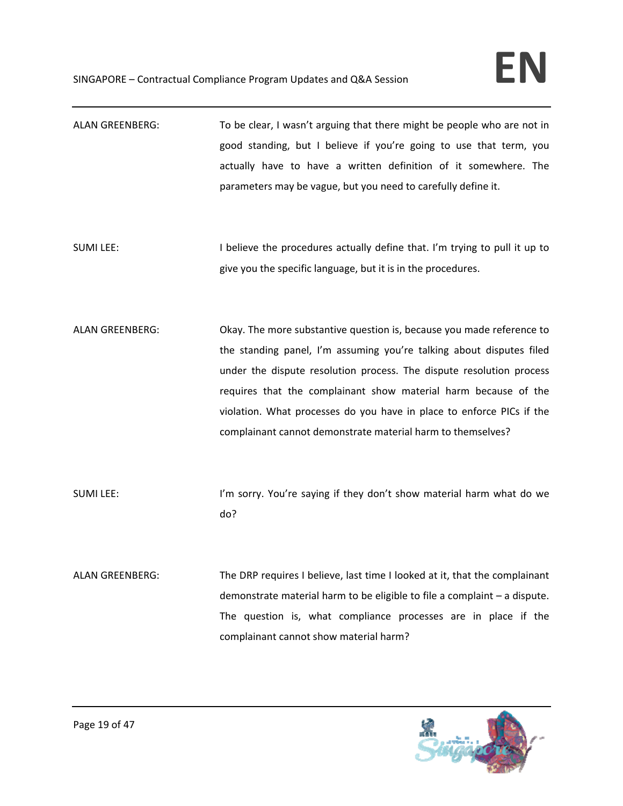ALAN GREENBERG: To be clear, I wasn't arguing that there might be people who are not in good standing, but I believe if you're going to use that term, you actually have to have a written definition of it somewhere. The parameters may be vague, but you need to carefully define it. SUMI LEE: I believe the procedures actually define that. I'm trying to pull it up to give you the specific language, but it is in the procedures. ALAN GREENBERG: Okay. The more substantive question is, because you made reference to the standing panel, I'm assuming you're talking about disputes filed under the dispute resolution process. The dispute resolution process requires that the complainant show material harm because of the violation. What processes do you have in place to enforce PICs if the complainant cannot demonstrate material harm to themselves? SUMI LEE: I'm sorry. You're saying if they don't show material harm what do we do? ALAN GREENBERG: The DRP requires I believe, last time I looked at it, that the complainant demonstrate material harm to be eligible to file a complaint – a dispute. The question is, what compliance processes are in place if the complainant cannot show material harm?

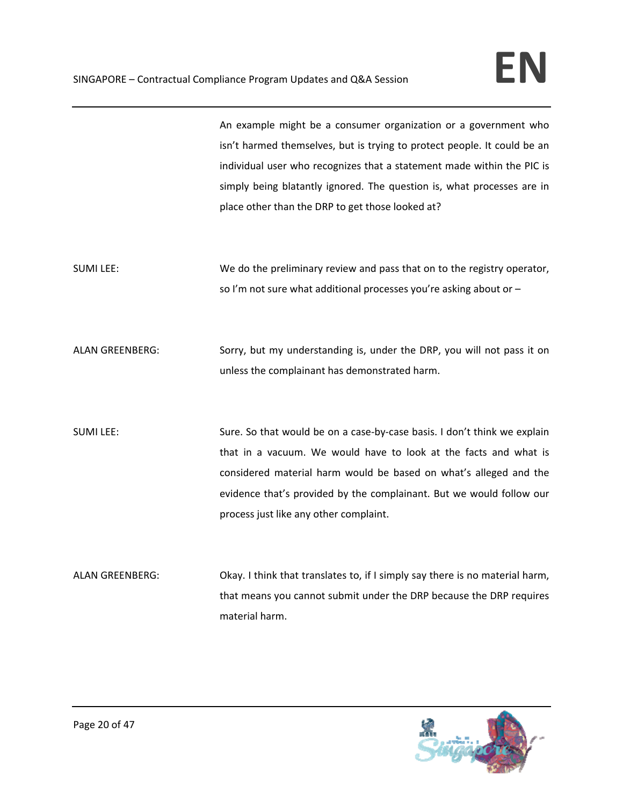An example might be a consumer organization or a government who isn't harmed themselves, but is trying to protect people. It could be an individual user who recognizes that a statement made within the PIC is simply being blatantly ignored. The question is, what processes are in place other than the DRP to get those looked at?

SUMI LEE: We do the preliminary review and pass that on to the registry operator, so I'm not sure what additional processes you're asking about or –

ALAN GREENBERG: Sorry, but my understanding is, under the DRP, you will not pass it on unless the complainant has demonstrated harm.

SUMI LEE: Sure. So that would be on a case-by-case basis. I don't think we explain that in a vacuum. We would have to look at the facts and what is considered material harm would be based on what's alleged and the evidence that's provided by the complainant. But we would follow our process just like any other complaint.

ALAN GREENBERG: Okay. I think that translates to, if I simply say there is no material harm, that means you cannot submit under the DRP because the DRP requires material harm.

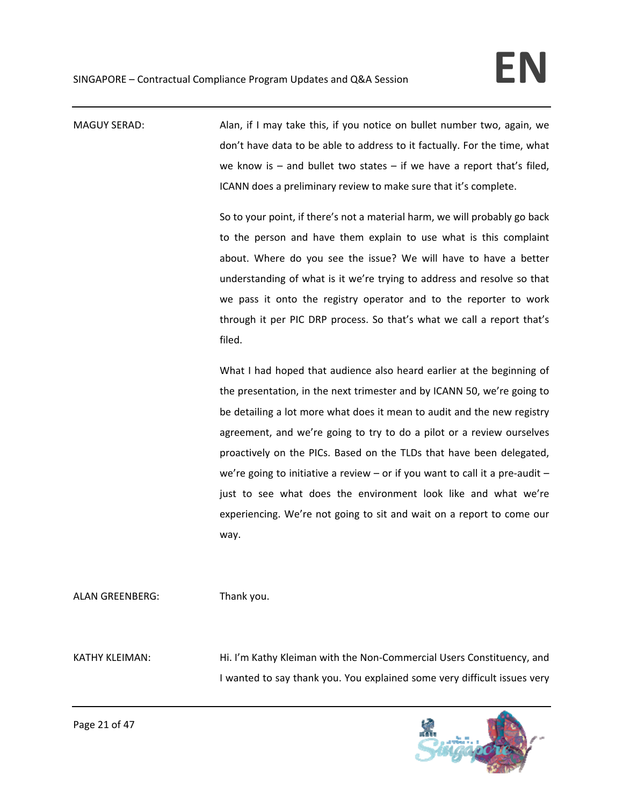MAGUY SERAD: Alan, if I may take this, if you notice on bullet number two, again, we don't have data to be able to address to it factually. For the time, what we know is  $-$  and bullet two states  $-$  if we have a report that's filed, ICANN does a preliminary review to make sure that it's complete.

> So to your point, if there's not a material harm, we will probably go back to the person and have them explain to use what is this complaint about. Where do you see the issue? We will have to have a better understanding of what is it we're trying to address and resolve so that we pass it onto the registry operator and to the reporter to work through it per PIC DRP process. So that's what we call a report that's filed.

> What I had hoped that audience also heard earlier at the beginning of the presentation, in the next trimester and by ICANN 50, we're going to be detailing a lot more what does it mean to audit and the new registry agreement, and we're going to try to do a pilot or a review ourselves proactively on the PICs. Based on the TLDs that have been delegated, we're going to initiative a review – or if you want to call it a pre-audit – just to see what does the environment look like and what we're experiencing. We're not going to sit and wait on a report to come our way.

ALAN GREENBERG: Thank you.

KATHY KLEIMAN: Hi. I'm Kathy Kleiman with the Non-Commercial Users Constituency, and I wanted to say thank you. You explained some very difficult issues very

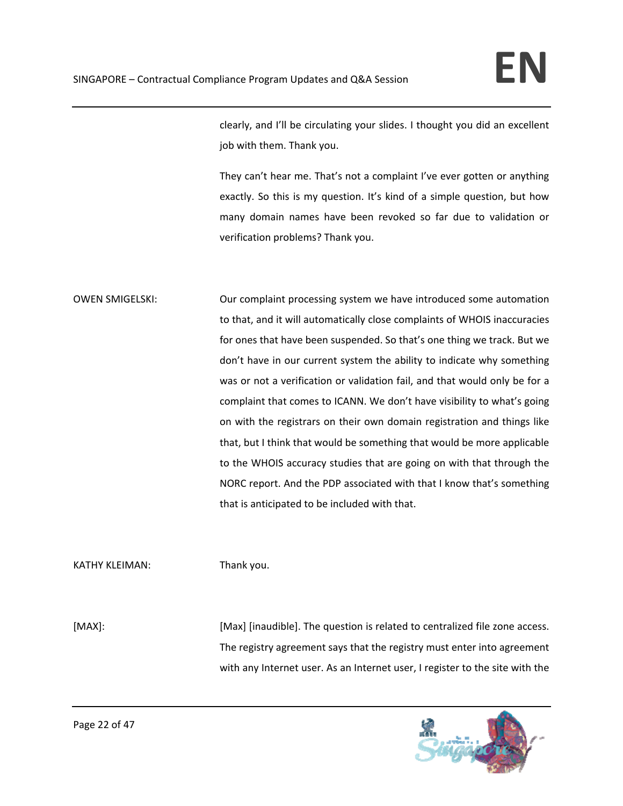clearly, and I'll be circulating your slides. I thought you did an excellent job with them. Thank you.

They can't hear me. That's not a complaint I've ever gotten or anything exactly. So this is my question. It's kind of a simple question, but how many domain names have been revoked so far due to validation or verification problems? Thank you.

OWEN SMIGELSKI: Our complaint processing system we have introduced some automation to that, and it will automatically close complaints of WHOIS inaccuracies for ones that have been suspended. So that's one thing we track. But we don't have in our current system the ability to indicate why something was or not a verification or validation fail, and that would only be for a complaint that comes to ICANN. We don't have visibility to what's going on with the registrars on their own domain registration and things like that, but I think that would be something that would be more applicable to the WHOIS accuracy studies that are going on with that through the NORC report. And the PDP associated with that I know that's something that is anticipated to be included with that.

KATHY KLEIMAN: Thank you.

[MAX]: [Max] [inaudible]. The question is related to centralized file zone access. The registry agreement says that the registry must enter into agreement with any Internet user. As an Internet user, I register to the site with the

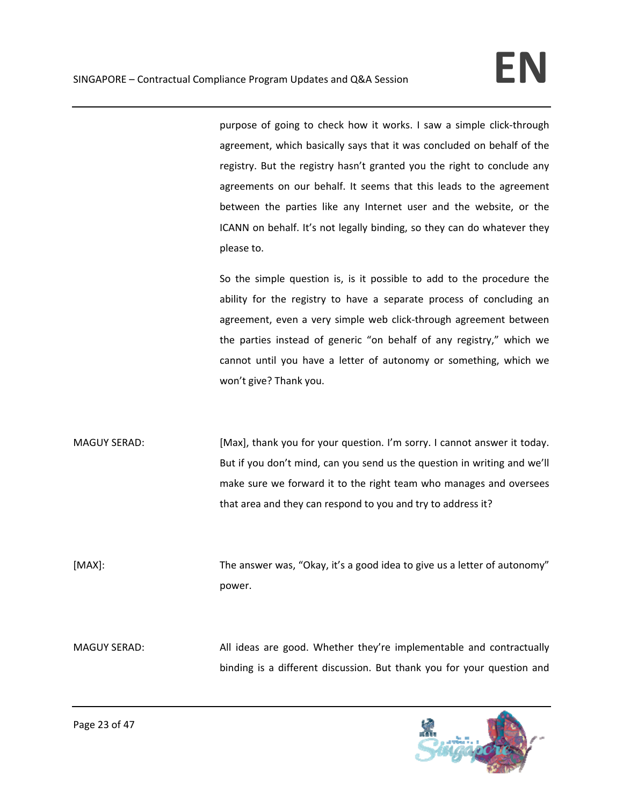purpose of going to check how it works. I saw a simple click-through agreement, which basically says that it was concluded on behalf of the registry. But the registry hasn't granted you the right to conclude any agreements on our behalf. It seems that this leads to the agreement between the parties like any Internet user and the website, or the ICANN on behalf. It's not legally binding, so they can do whatever they please to.

So the simple question is, is it possible to add to the procedure the ability for the registry to have a separate process of concluding an agreement, even a very simple web click-through agreement between the parties instead of generic "on behalf of any registry," which we cannot until you have a letter of autonomy or something, which we won't give? Thank you.

MAGUY SERAD: [Max], thank you for your question. I'm sorry. I cannot answer it today. But if you don't mind, can you send us the question in writing and we'll make sure we forward it to the right team who manages and oversees that area and they can respond to you and try to address it?

[MAX]: The answer was, "Okay, it's a good idea to give us a letter of autonomy" power.

MAGUY SERAD: All ideas are good. Whether they're implementable and contractually binding is a different discussion. But thank you for your question and

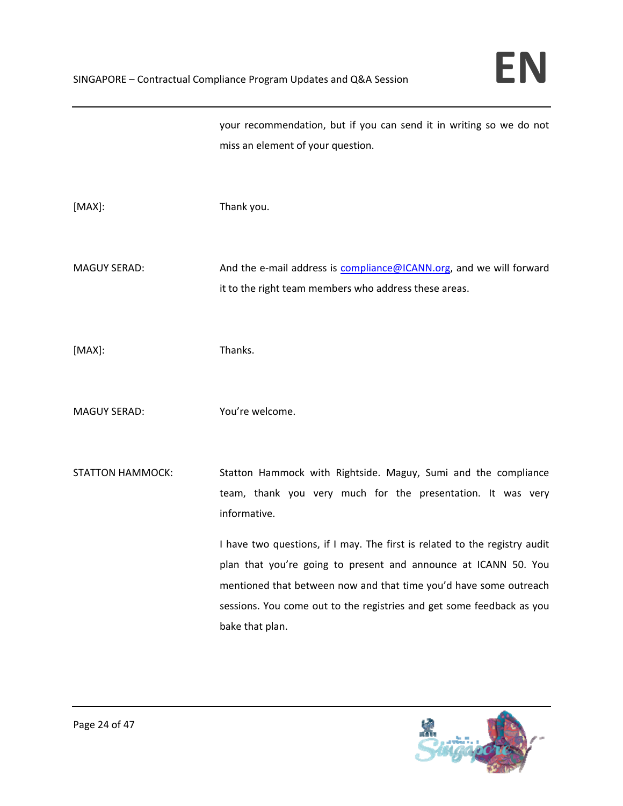your recommendation, but if you can send it in writing so we do not miss an element of your question.

[MAX]: Thank you.

MAGUY SERAD: And the e-mail address is compliance@ICANN.org, and we will forward it to the right team members who address these areas.

[MAX]: Thanks.

MAGUY SERAD: You're welcome.

STATTON HAMMOCK: Statton Hammock with Rightside. Maguy, Sumi and the compliance team, thank you very much for the presentation. It was very informative.

> I have two questions, if I may. The first is related to the registry audit plan that you're going to present and announce at ICANN 50. You mentioned that between now and that time you'd have some outreach sessions. You come out to the registries and get some feedback as you bake that plan.

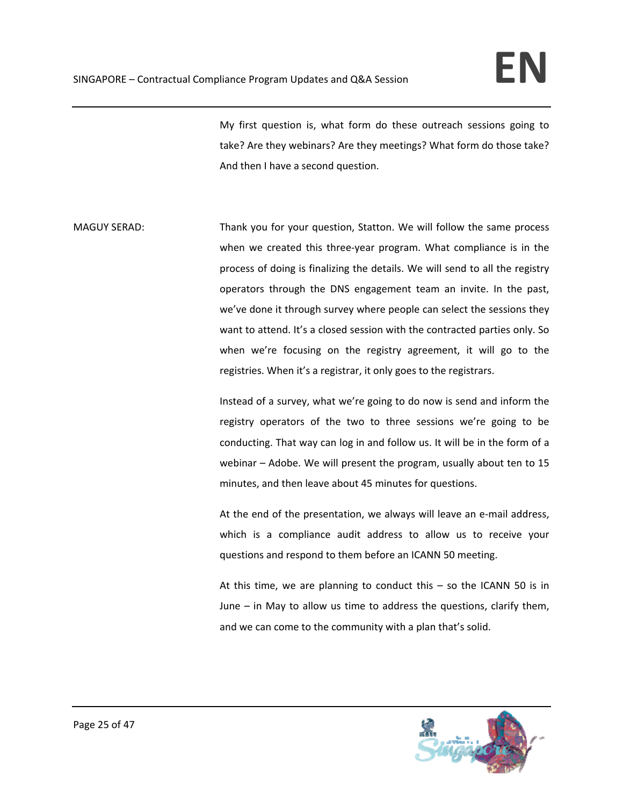My first question is, what form do these outreach sessions going to take? Are they webinars? Are they meetings? What form do those take? And then I have a second question.

MAGUY SERAD: Thank you for your question, Statton. We will follow the same process when we created this three-year program. What compliance is in the process of doing is finalizing the details. We will send to all the registry operators through the DNS engagement team an invite. In the past, we've done it through survey where people can select the sessions they want to attend. It's a closed session with the contracted parties only. So when we're focusing on the registry agreement, it will go to the registries. When it's a registrar, it only goes to the registrars.

> Instead of a survey, what we're going to do now is send and inform the registry operators of the two to three sessions we're going to be conducting. That way can log in and follow us. It will be in the form of a webinar – Adobe. We will present the program, usually about ten to 15 minutes, and then leave about 45 minutes for questions.

> At the end of the presentation, we always will leave an e-mail address, which is a compliance audit address to allow us to receive your questions and respond to them before an ICANN 50 meeting.

> At this time, we are planning to conduct this – so the ICANN 50 is in June – in May to allow us time to address the questions, clarify them, and we can come to the community with a plan that's solid.

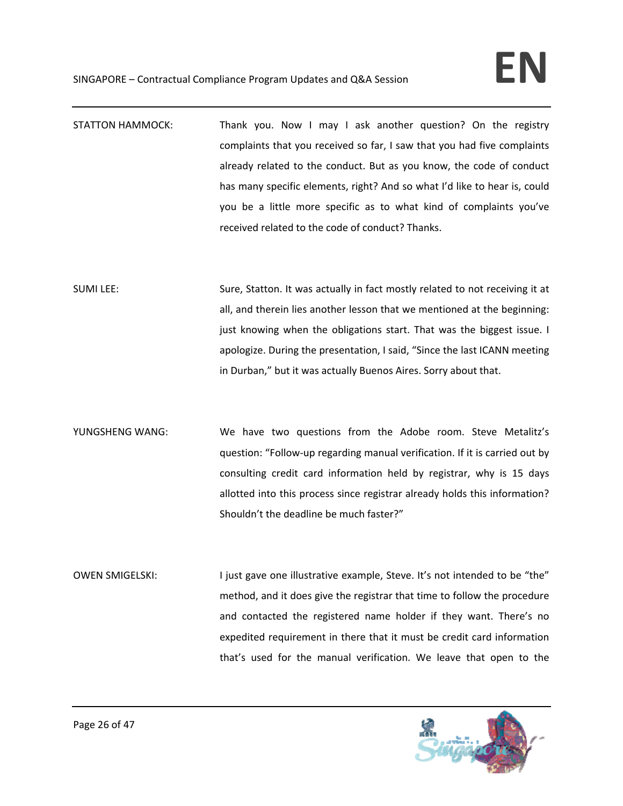- STATTON HAMMOCK: Thank you. Now I may I ask another question? On the registry complaints that you received so far, I saw that you had five complaints already related to the conduct. But as you know, the code of conduct has many specific elements, right? And so what I'd like to hear is, could you be a little more specific as to what kind of complaints you've received related to the code of conduct? Thanks.
- SUMI LEE: Sure, Statton. It was actually in fact mostly related to not receiving it at all, and therein lies another lesson that we mentioned at the beginning: just knowing when the obligations start. That was the biggest issue. I apologize. During the presentation, I said, "Since the last ICANN meeting in Durban," but it was actually Buenos Aires. Sorry about that.
- YUNGSHENG WANG: We have two questions from the Adobe room. Steve Metalitz's question: "Follow‐up regarding manual verification. If it is carried out by consulting credit card information held by registrar, why is 15 days allotted into this process since registrar already holds this information? Shouldn't the deadline be much faster?"
- OWEN SMIGELSKI: I just gave one illustrative example, Steve. It's not intended to be "the" method, and it does give the registrar that time to follow the procedure and contacted the registered name holder if they want. There's no expedited requirement in there that it must be credit card information that's used for the manual verification. We leave that open to the

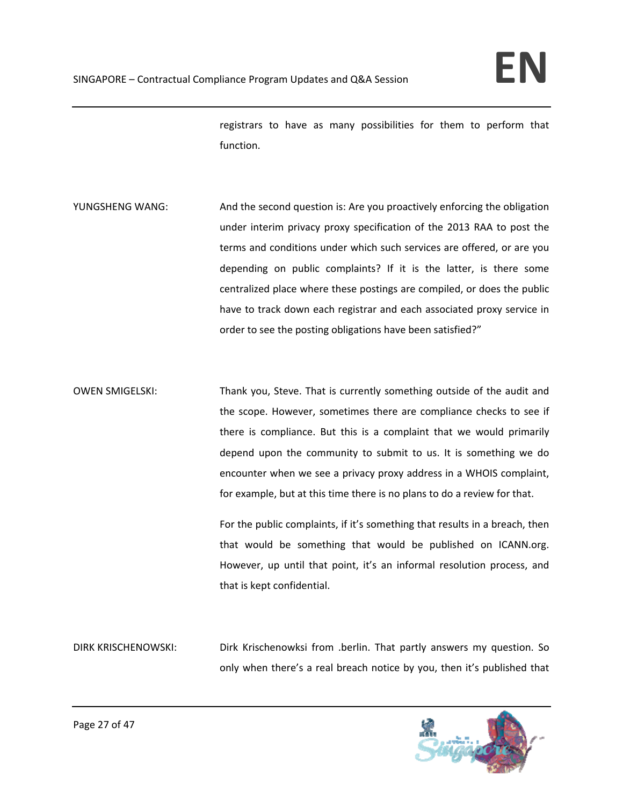registrars to have as many possibilities for them to perform that function.

- YUNGSHENG WANG: And the second question is: Are you proactively enforcing the obligation under interim privacy proxy specification of the 2013 RAA to post the terms and conditions under which such services are offered, or are you depending on public complaints? If it is the latter, is there some centralized place where these postings are compiled, or does the public have to track down each registrar and each associated proxy service in order to see the posting obligations have been satisfied?"
- OWEN SMIGELSKI: Thank you, Steve. That is currently something outside of the audit and the scope. However, sometimes there are compliance checks to see if there is compliance. But this is a complaint that we would primarily depend upon the community to submit to us. It is something we do encounter when we see a privacy proxy address in a WHOIS complaint, for example, but at this time there is no plans to do a review for that.

For the public complaints, if it's something that results in a breach, then that would be something that would be published on ICANN.org. However, up until that point, it's an informal resolution process, and that is kept confidential.

DIRK KRISCHENOWSKI: Dirk Krischenowksi from .berlin. That partly answers my question. So only when there's a real breach notice by you, then it's published that

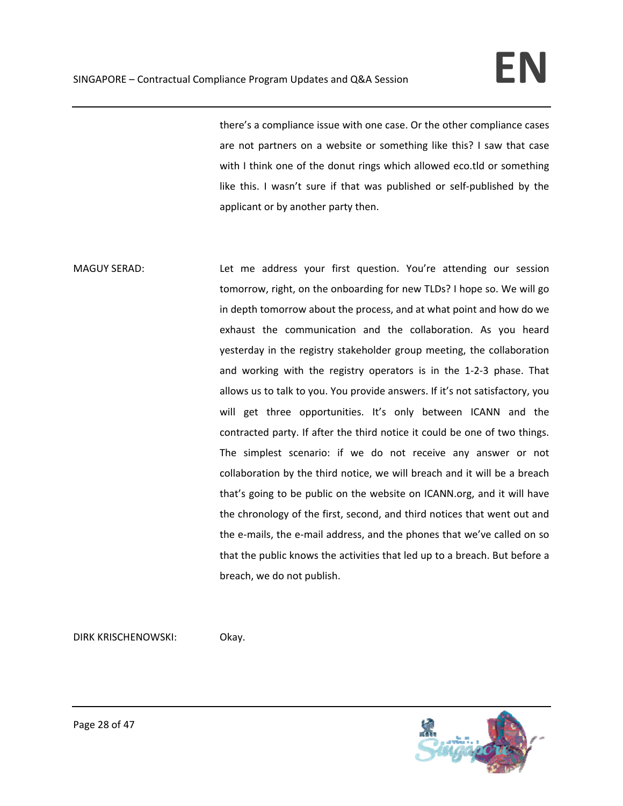there's a compliance issue with one case. Or the other compliance cases are not partners on a website or something like this? I saw that case with I think one of the donut rings which allowed eco.tld or something like this. I wasn't sure if that was published or self-published by the applicant or by another party then.

MAGUY SERAD: Let me address your first question. You're attending our session tomorrow, right, on the onboarding for new TLDs? I hope so. We will go in depth tomorrow about the process, and at what point and how do we exhaust the communication and the collaboration. As you heard yesterday in the registry stakeholder group meeting, the collaboration and working with the registry operators is in the 1‐2‐3 phase. That allows us to talk to you. You provide answers. If it's not satisfactory, you will get three opportunities. It's only between ICANN and the contracted party. If after the third notice it could be one of two things. The simplest scenario: if we do not receive any answer or not collaboration by the third notice, we will breach and it will be a breach that's going to be public on the website on ICANN.org, and it will have the chronology of the first, second, and third notices that went out and the e‐mails, the e‐mail address, and the phones that we've called on so that the public knows the activities that led up to a breach. But before a breach, we do not publish.

DIRK KRISCHENOWSKI: Okay.

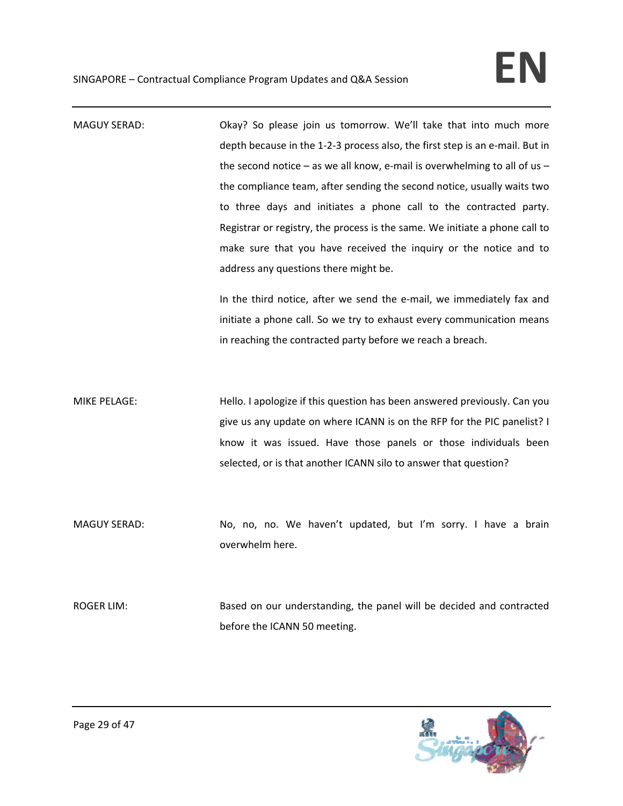| <b>MAGUY SERAD:</b> | Okay? So please join us tomorrow. We'll take that into much more              |
|---------------------|-------------------------------------------------------------------------------|
|                     | depth because in the 1-2-3 process also, the first step is an e-mail. But in  |
|                     | the second notice $-$ as we all know, e-mail is overwhelming to all of us $-$ |
|                     | the compliance team, after sending the second notice, usually waits two       |
|                     | to three days and initiates a phone call to the contracted party.             |
|                     | Registrar or registry, the process is the same. We initiate a phone call to   |
|                     | make sure that you have received the inquiry or the notice and to             |
|                     | address any questions there might be.                                         |
|                     | In the third notice, after we send the e-mail, we immediately fax and         |
|                     | initiate a phone call. So we try to exhaust every communication means         |
|                     | in reaching the contracted party before we reach a breach.                    |
|                     |                                                                               |
|                     |                                                                               |
|                     |                                                                               |
| <b>MIKE PELAGE:</b> | Hello. I apologize if this question has been answered previously. Can you     |
|                     | give us any update on where ICANN is on the RFP for the PIC panelist? I       |
|                     | know it was issued. Have those panels or those individuals been               |
|                     | selected, or is that another ICANN silo to answer that question?              |
|                     |                                                                               |
|                     |                                                                               |
| <b>MAGUY SERAD:</b> | No, no, no. We haven't updated, but I'm sorry. I have a brain                 |
|                     | overwhelm here.                                                               |
|                     |                                                                               |
|                     |                                                                               |
| <b>ROGER LIM:</b>   | Based on our understanding, the panel will be decided and contracted          |
|                     | before the ICANN 50 meeting.                                                  |

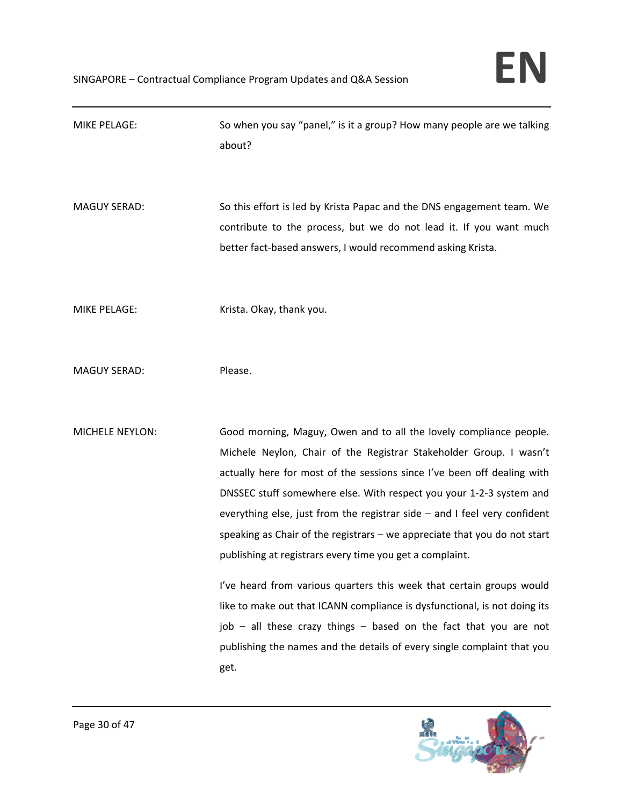| <b>MIKE PELAGE:</b>    | So when you say "panel," is it a group? How many people are we talking<br>about?                                                                                                                                                                                                                                                                                                                                                                                                                                                                                                                                                                                                                                                                                                                                                  |
|------------------------|-----------------------------------------------------------------------------------------------------------------------------------------------------------------------------------------------------------------------------------------------------------------------------------------------------------------------------------------------------------------------------------------------------------------------------------------------------------------------------------------------------------------------------------------------------------------------------------------------------------------------------------------------------------------------------------------------------------------------------------------------------------------------------------------------------------------------------------|
| <b>MAGUY SERAD:</b>    | So this effort is led by Krista Papac and the DNS engagement team. We<br>contribute to the process, but we do not lead it. If you want much<br>better fact-based answers, I would recommend asking Krista.                                                                                                                                                                                                                                                                                                                                                                                                                                                                                                                                                                                                                        |
| <b>MIKE PELAGE:</b>    | Krista. Okay, thank you.                                                                                                                                                                                                                                                                                                                                                                                                                                                                                                                                                                                                                                                                                                                                                                                                          |
| <b>MAGUY SERAD:</b>    | Please.                                                                                                                                                                                                                                                                                                                                                                                                                                                                                                                                                                                                                                                                                                                                                                                                                           |
| <b>MICHELE NEYLON:</b> | Good morning, Maguy, Owen and to all the lovely compliance people.<br>Michele Neylon, Chair of the Registrar Stakeholder Group. I wasn't<br>actually here for most of the sessions since I've been off dealing with<br>DNSSEC stuff somewhere else. With respect you your 1-2-3 system and<br>everything else, just from the registrar side $-$ and I feel very confident<br>speaking as Chair of the registrars $-$ we appreciate that you do not start<br>publishing at registrars every time you get a complaint.<br>I've heard from various quarters this week that certain groups would<br>like to make out that ICANN compliance is dysfunctional, is not doing its<br>job - all these crazy things - based on the fact that you are not<br>publishing the names and the details of every single complaint that you<br>get. |

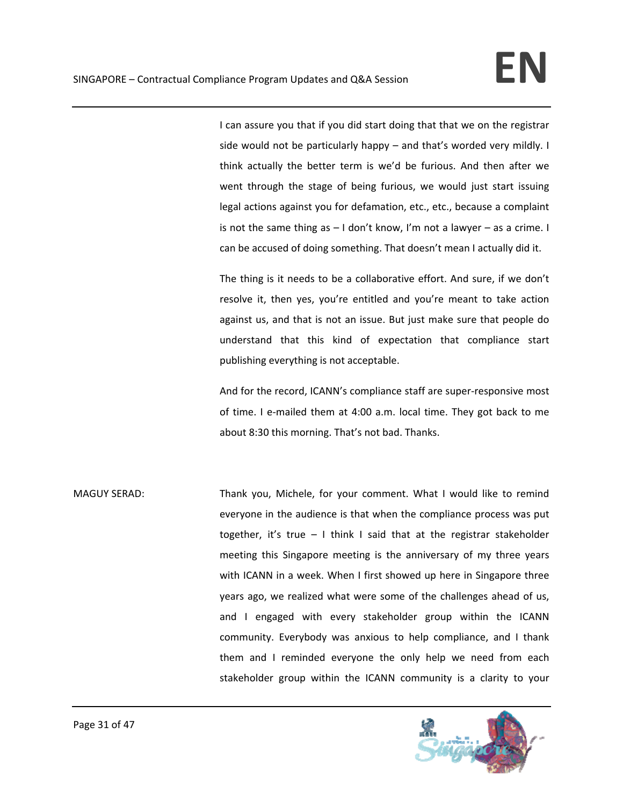I can assure you that if you did start doing that that we on the registrar side would not be particularly happy – and that's worded very mildly. I think actually the better term is we'd be furious. And then after we went through the stage of being furious, we would just start issuing legal actions against you for defamation, etc., etc., because a complaint is not the same thing as – I don't know, I'm not a lawyer – as a crime. I can be accused of doing something. That doesn't mean I actually did it.

The thing is it needs to be a collaborative effort. And sure, if we don't resolve it, then yes, you're entitled and you're meant to take action against us, and that is not an issue. But just make sure that people do understand that this kind of expectation that compliance start publishing everything is not acceptable.

And for the record, ICANN's compliance staff are super‐responsive most of time. I e-mailed them at 4:00 a.m. local time. They got back to me about 8:30 this morning. That's not bad. Thanks.

MAGUY SERAD: Thank you, Michele, for your comment. What I would like to remind everyone in the audience is that when the compliance process was put together, it's true  $-1$  think I said that at the registrar stakeholder meeting this Singapore meeting is the anniversary of my three years with ICANN in a week. When I first showed up here in Singapore three years ago, we realized what were some of the challenges ahead of us, and I engaged with every stakeholder group within the ICANN community. Everybody was anxious to help compliance, and I thank them and I reminded everyone the only help we need from each stakeholder group within the ICANN community is a clarity to your

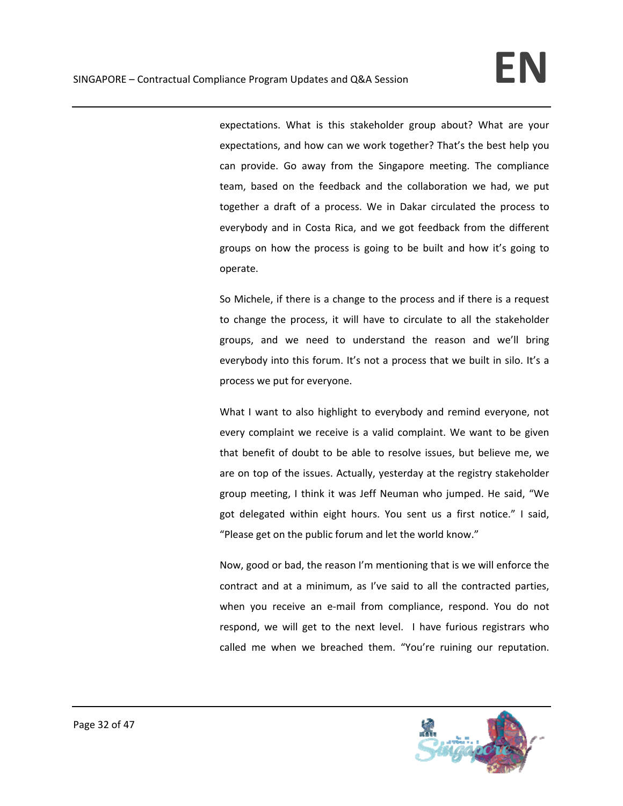expectations. What is this stakeholder group about? What are your expectations, and how can we work together? That's the best help you can provide. Go away from the Singapore meeting. The compliance team, based on the feedback and the collaboration we had, we put together a draft of a process. We in Dakar circulated the process to everybody and in Costa Rica, and we got feedback from the different groups on how the process is going to be built and how it's going to operate.

So Michele, if there is a change to the process and if there is a request to change the process, it will have to circulate to all the stakeholder groups, and we need to understand the reason and we'll bring everybody into this forum. It's not a process that we built in silo. It's a process we put for everyone.

What I want to also highlight to everybody and remind everyone, not every complaint we receive is a valid complaint. We want to be given that benefit of doubt to be able to resolve issues, but believe me, we are on top of the issues. Actually, yesterday at the registry stakeholder group meeting, I think it was Jeff Neuman who jumped. He said, "We got delegated within eight hours. You sent us a first notice." I said, "Please get on the public forum and let the world know."

Now, good or bad, the reason I'm mentioning that is we will enforce the contract and at a minimum, as I've said to all the contracted parties, when you receive an e-mail from compliance, respond. You do not respond, we will get to the next level. I have furious registrars who called me when we breached them. "You're ruining our reputation.

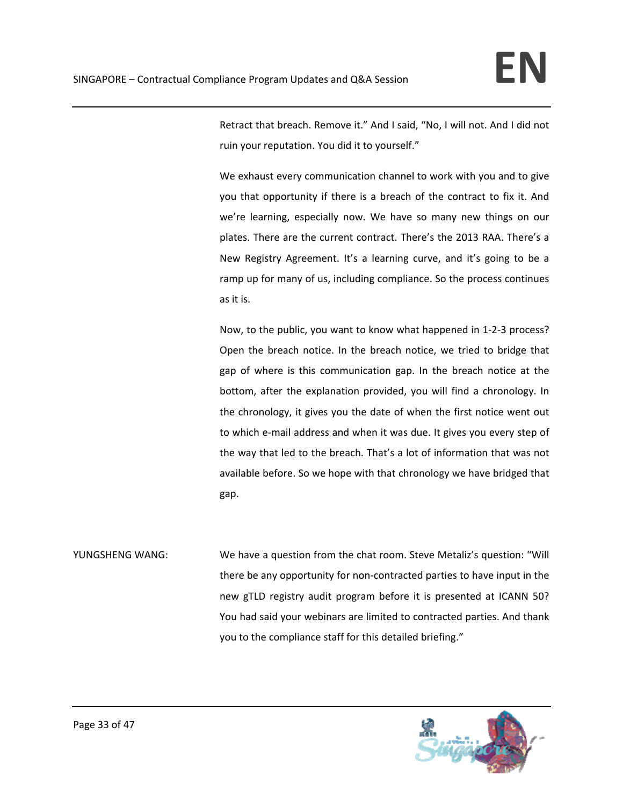Retract that breach. Remove it." And I said, "No, I will not. And I did not ruin your reputation. You did it to yourself."

We exhaust every communication channel to work with you and to give you that opportunity if there is a breach of the contract to fix it. And we're learning, especially now. We have so many new things on our plates. There are the current contract. There's the 2013 RAA. There's a New Registry Agreement. It's a learning curve, and it's going to be a ramp up for many of us, including compliance. So the process continues as it is.

Now, to the public, you want to know what happened in 1‐2‐3 process? Open the breach notice. In the breach notice, we tried to bridge that gap of where is this communication gap. In the breach notice at the bottom, after the explanation provided, you will find a chronology. In the chronology, it gives you the date of when the first notice went out to which e‐mail address and when it was due. It gives you every step of the way that led to the breach. That's a lot of information that was not available before. So we hope with that chronology we have bridged that gap.

YUNGSHENG WANG: We have a question from the chat room. Steve Metaliz's question: "Will there be any opportunity for non‐contracted parties to have input in the new gTLD registry audit program before it is presented at ICANN 50? You had said your webinars are limited to contracted parties. And thank you to the compliance staff for this detailed briefing."

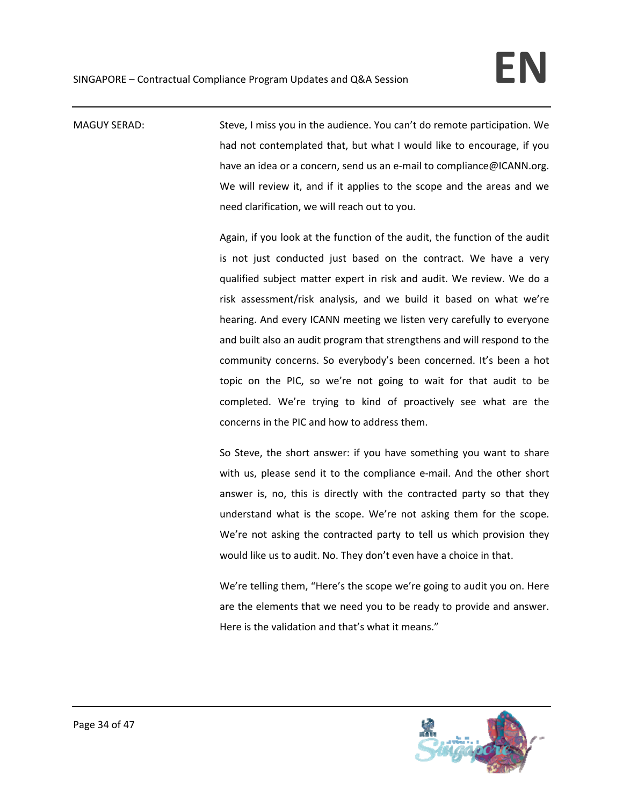MAGUY SERAD: Steve, I miss you in the audience. You can't do remote participation. We had not contemplated that, but what I would like to encourage, if you have an idea or a concern, send us an e-mail to compliance@ICANN.org. We will review it, and if it applies to the scope and the areas and we need clarification, we will reach out to you.

> Again, if you look at the function of the audit, the function of the audit is not just conducted just based on the contract. We have a very qualified subject matter expert in risk and audit. We review. We do a risk assessment/risk analysis, and we build it based on what we're hearing. And every ICANN meeting we listen very carefully to everyone and built also an audit program that strengthens and will respond to the community concerns. So everybody's been concerned. It's been a hot topic on the PIC, so we're not going to wait for that audit to be completed. We're trying to kind of proactively see what are the concerns in the PIC and how to address them.

> So Steve, the short answer: if you have something you want to share with us, please send it to the compliance e-mail. And the other short answer is, no, this is directly with the contracted party so that they understand what is the scope. We're not asking them for the scope. We're not asking the contracted party to tell us which provision they would like us to audit. No. They don't even have a choice in that.

> We're telling them, "Here's the scope we're going to audit you on. Here are the elements that we need you to be ready to provide and answer. Here is the validation and that's what it means."

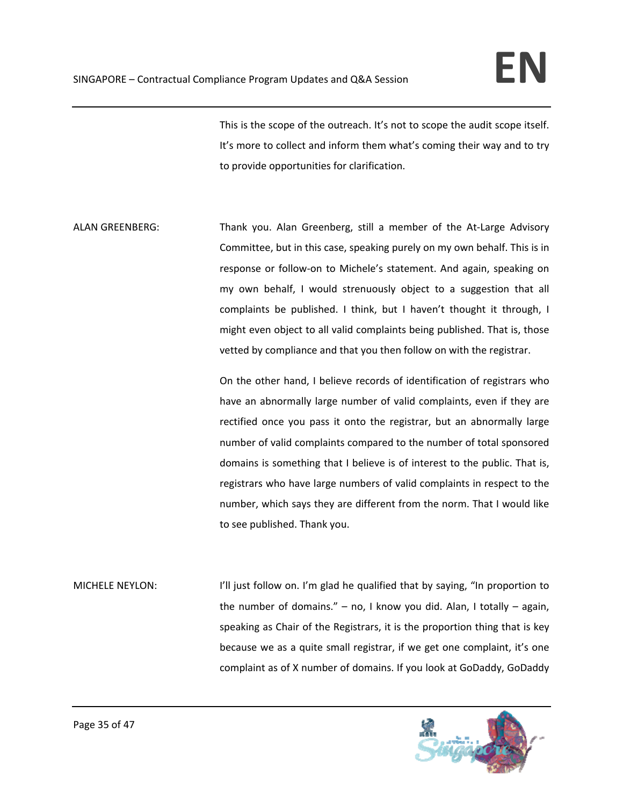This is the scope of the outreach. It's not to scope the audit scope itself. It's more to collect and inform them what's coming their way and to try to provide opportunities for clarification.

ALAN GREENBERG: Thank you. Alan Greenberg, still a member of the At-Large Advisory Committee, but in this case, speaking purely on my own behalf. This is in response or follow-on to Michele's statement. And again, speaking on my own behalf, I would strenuously object to a suggestion that all complaints be published. I think, but I haven't thought it through, I might even object to all valid complaints being published. That is, those vetted by compliance and that you then follow on with the registrar.

> On the other hand, I believe records of identification of registrars who have an abnormally large number of valid complaints, even if they are rectified once you pass it onto the registrar, but an abnormally large number of valid complaints compared to the number of total sponsored domains is something that I believe is of interest to the public. That is, registrars who have large numbers of valid complaints in respect to the number, which says they are different from the norm. That I would like to see published. Thank you.

MICHELE NEYLON: I'll just follow on. I'm glad he qualified that by saying, "In proportion to the number of domains." – no, I know you did. Alan, I totally – again, speaking as Chair of the Registrars, it is the proportion thing that is key because we as a quite small registrar, if we get one complaint, it's one complaint as of X number of domains. If you look at GoDaddy, GoDaddy

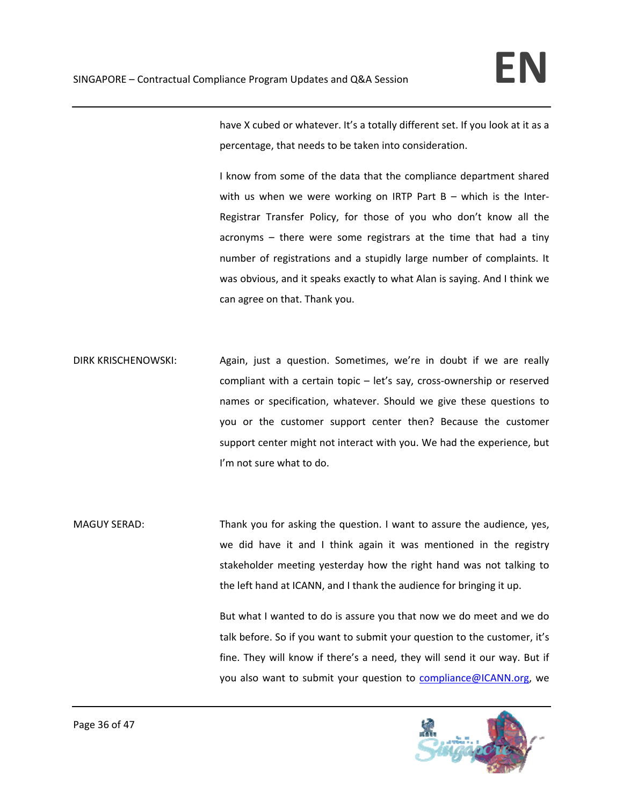have X cubed or whatever. It's a totally different set. If you look at it as a percentage, that needs to be taken into consideration.

I know from some of the data that the compliance department shared with us when we were working on IRTP Part  $B -$  which is the Inter-Registrar Transfer Policy, for those of you who don't know all the acronyms – there were some registrars at the time that had a tiny number of registrations and a stupidly large number of complaints. It was obvious, and it speaks exactly to what Alan is saying. And I think we can agree on that. Thank you.

- DIRK KRISCHENOWSKI: Again, just a question. Sometimes, we're in doubt if we are really compliant with a certain topic – let's say, cross-ownership or reserved names or specification, whatever. Should we give these questions to you or the customer support center then? Because the customer support center might not interact with you. We had the experience, but I'm not sure what to do.
- MAGUY SERAD: Thank you for asking the question. I want to assure the audience, yes, we did have it and I think again it was mentioned in the registry stakeholder meeting yesterday how the right hand was not talking to the left hand at ICANN, and I thank the audience for bringing it up.

But what I wanted to do is assure you that now we do meet and we do talk before. So if you want to submit your question to the customer, it's fine. They will know if there's a need, they will send it our way. But if you also want to submit your question to compliance@ICANN.org, we

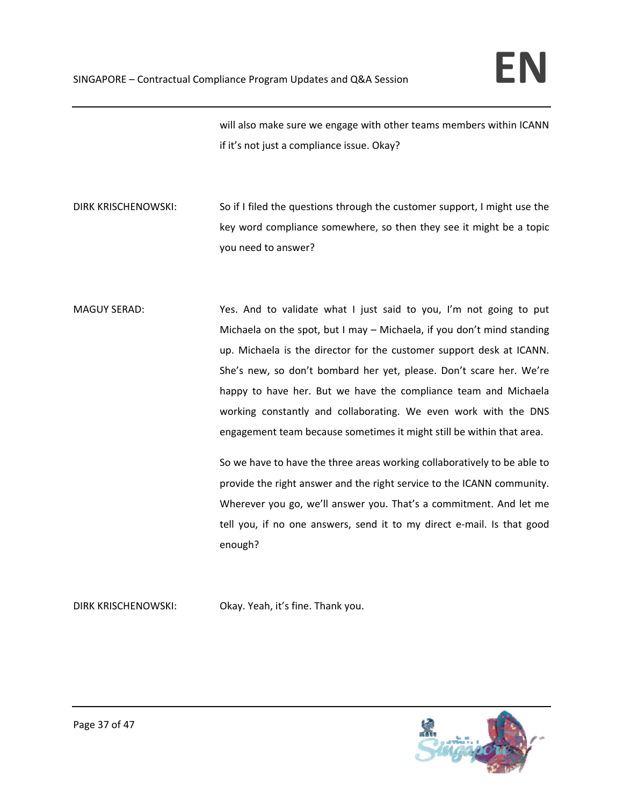will also make sure we engage with other teams members within ICANN if it's not just a compliance issue. Okay?

DIRK KRISCHENOWSKI: So if I filed the questions through the customer support, I might use the key word compliance somewhere, so then they see it might be a topic you need to answer?

MAGUY SERAD: Yes. And to validate what I just said to you, I'm not going to put Michaela on the spot, but I may – Michaela, if you don't mind standing up. Michaela is the director for the customer support desk at ICANN. She's new, so don't bombard her yet, please. Don't scare her. We're happy to have her. But we have the compliance team and Michaela working constantly and collaborating. We even work with the DNS engagement team because sometimes it might still be within that area.

> So we have to have the three areas working collaboratively to be able to provide the right answer and the right service to the ICANN community. Wherever you go, we'll answer you. That's a commitment. And let me tell you, if no one answers, send it to my direct e-mail. Is that good enough?

DIRK KRISCHENOWSKI: Okay. Yeah, it's fine. Thank you.

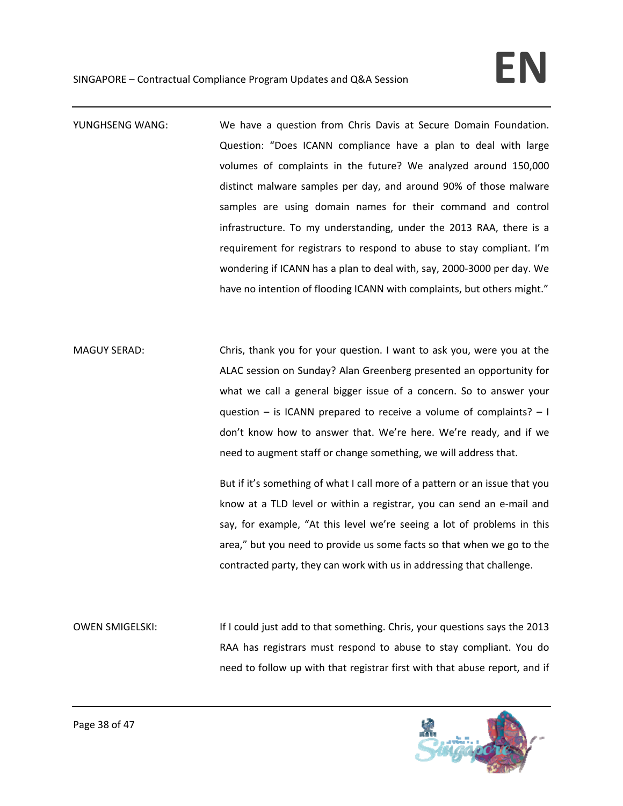- YUNGHSENG WANG: We have a question from Chris Davis at Secure Domain Foundation. Question: "Does ICANN compliance have a plan to deal with large volumes of complaints in the future? We analyzed around 150,000 distinct malware samples per day, and around 90% of those malware samples are using domain names for their command and control infrastructure. To my understanding, under the 2013 RAA, there is a requirement for registrars to respond to abuse to stay compliant. I'm wondering if ICANN has a plan to deal with, say, 2000‐3000 per day. We have no intention of flooding ICANN with complaints, but others might."
- MAGUY SERAD: Chris, thank you for your question. I want to ask you, were you at the ALAC session on Sunday? Alan Greenberg presented an opportunity for what we call a general bigger issue of a concern. So to answer your question – is ICANN prepared to receive a volume of complaints? – I don't know how to answer that. We're here. We're ready, and if we need to augment staff or change something, we will address that.

But if it's something of what I call more of a pattern or an issue that you know at a TLD level or within a registrar, you can send an e‐mail and say, for example, "At this level we're seeing a lot of problems in this area," but you need to provide us some facts so that when we go to the contracted party, they can work with us in addressing that challenge.

OWEN SMIGELSKI: If I could just add to that something. Chris, your questions says the 2013 RAA has registrars must respond to abuse to stay compliant. You do need to follow up with that registrar first with that abuse report, and if

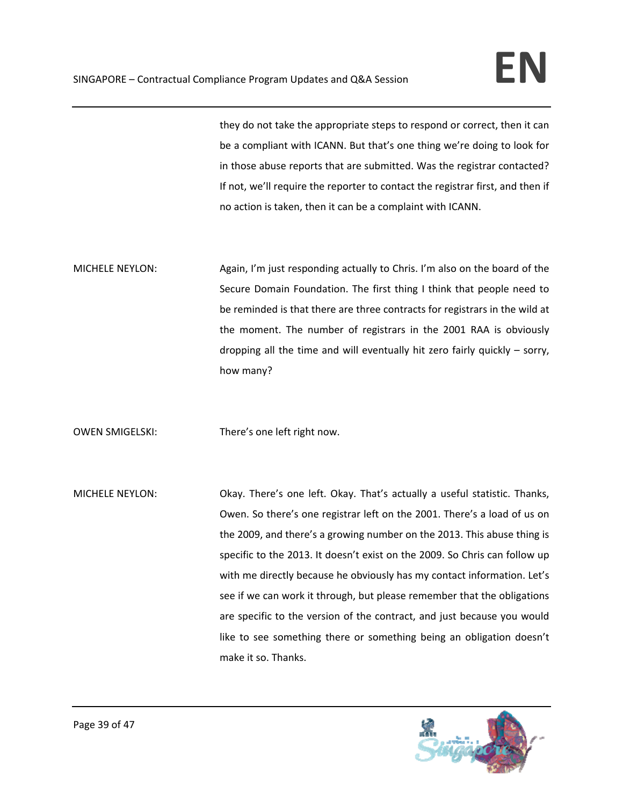they do not take the appropriate steps to respond or correct, then it can be a compliant with ICANN. But that's one thing we're doing to look for in those abuse reports that are submitted. Was the registrar contacted? If not, we'll require the reporter to contact the registrar first, and then if no action is taken, then it can be a complaint with ICANN.

MICHELE NEYLON: Again, I'm just responding actually to Chris. I'm also on the board of the Secure Domain Foundation. The first thing I think that people need to be reminded is that there are three contracts for registrars in the wild at the moment. The number of registrars in the 2001 RAA is obviously dropping all the time and will eventually hit zero fairly quickly – sorry, how many?

OWEN SMIGELSKI: There's one left right now.

MICHELE NEYLON: Okay. There's one left. Okay. That's actually a useful statistic. Thanks, Owen. So there's one registrar left on the 2001. There's a load of us on the 2009, and there's a growing number on the 2013. This abuse thing is specific to the 2013. It doesn't exist on the 2009. So Chris can follow up with me directly because he obviously has my contact information. Let's see if we can work it through, but please remember that the obligations are specific to the version of the contract, and just because you would like to see something there or something being an obligation doesn't make it so. Thanks.

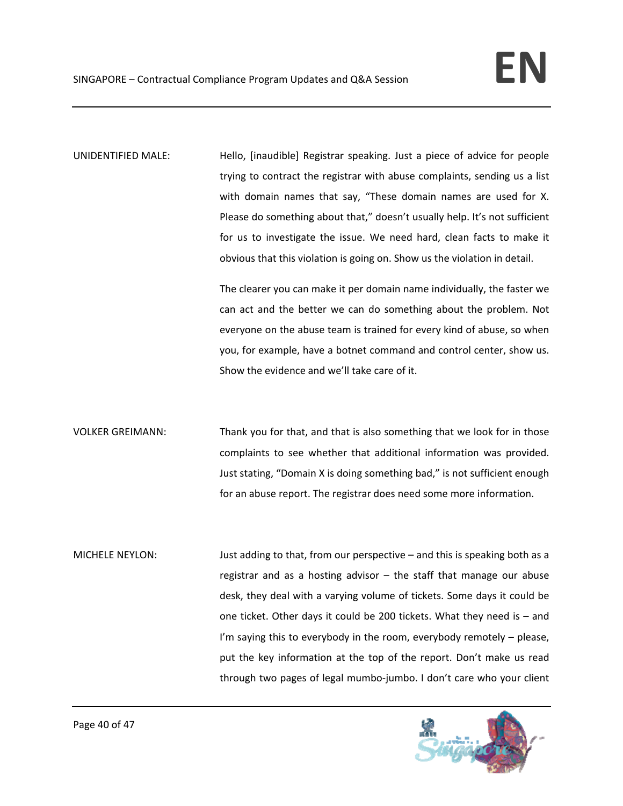UNIDENTIFIED MALE: Hello, [inaudible] Registrar speaking. Just a piece of advice for people trying to contract the registrar with abuse complaints, sending us a list with domain names that say, "These domain names are used for X. Please do something about that," doesn't usually help. It's not sufficient for us to investigate the issue. We need hard, clean facts to make it obvious that this violation is going on. Show us the violation in detail.

> The clearer you can make it per domain name individually, the faster we can act and the better we can do something about the problem. Not everyone on the abuse team is trained for every kind of abuse, so when you, for example, have a botnet command and control center, show us. Show the evidence and we'll take care of it.

VOLKER GREIMANN: Thank you for that, and that is also something that we look for in those complaints to see whether that additional information was provided. Just stating, "Domain X is doing something bad," is not sufficient enough for an abuse report. The registrar does need some more information.

MICHELE NEYLON: Just adding to that, from our perspective – and this is speaking both as a registrar and as a hosting advisor – the staff that manage our abuse desk, they deal with a varying volume of tickets. Some days it could be one ticket. Other days it could be 200 tickets. What they need is – and I'm saying this to everybody in the room, everybody remotely – please, put the key information at the top of the report. Don't make us read through two pages of legal mumbo‐jumbo. I don't care who your client

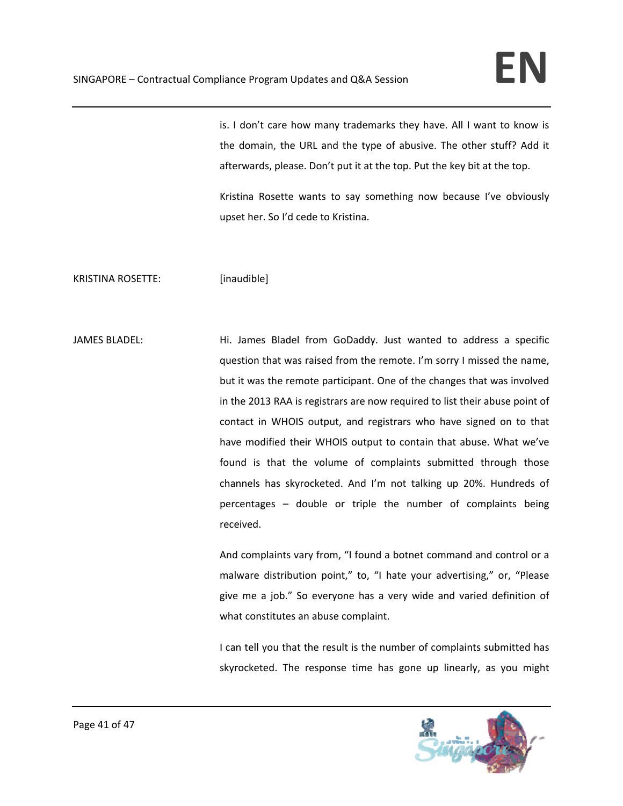is. I don't care how many trademarks they have. All I want to know is the domain, the URL and the type of abusive. The other stuff? Add it afterwards, please. Don't put it at the top. Put the key bit at the top.

Kristina Rosette wants to say something now because I've obviously upset her. So I'd cede to Kristina.

KRISTINA ROSETTE: [inaudible]

JAMES BLADEL: Hi. James Bladel from GoDaddy. Just wanted to address a specific question that was raised from the remote. I'm sorry I missed the name, but it was the remote participant. One of the changes that was involved in the 2013 RAA is registrars are now required to list their abuse point of contact in WHOIS output, and registrars who have signed on to that have modified their WHOIS output to contain that abuse. What we've found is that the volume of complaints submitted through those channels has skyrocketed. And I'm not talking up 20%. Hundreds of percentages – double or triple the number of complaints being received.

> And complaints vary from, "I found a botnet command and control or a malware distribution point," to, "I hate your advertising," or, "Please give me a job." So everyone has a very wide and varied definition of what constitutes an abuse complaint.

> I can tell you that the result is the number of complaints submitted has skyrocketed. The response time has gone up linearly, as you might

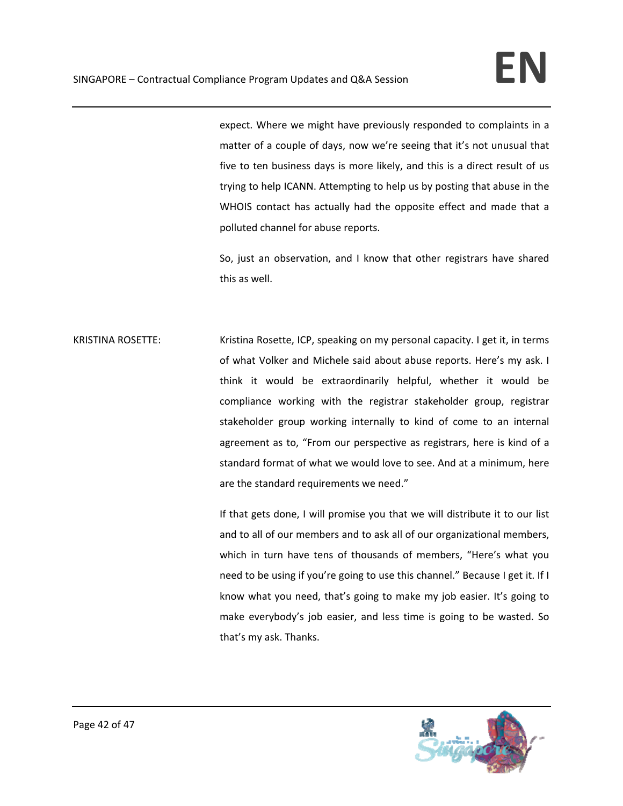expect. Where we might have previously responded to complaints in a matter of a couple of days, now we're seeing that it's not unusual that five to ten business days is more likely, and this is a direct result of us trying to help ICANN. Attempting to help us by posting that abuse in the WHOIS contact has actually had the opposite effect and made that a polluted channel for abuse reports.

So, just an observation, and I know that other registrars have shared this as well.

KRISTINA ROSETTE: Kristina Rosette, ICP, speaking on my personal capacity. I get it, in terms of what Volker and Michele said about abuse reports. Here's my ask. I think it would be extraordinarily helpful, whether it would be compliance working with the registrar stakeholder group, registrar stakeholder group working internally to kind of come to an internal agreement as to, "From our perspective as registrars, here is kind of a standard format of what we would love to see. And at a minimum, here are the standard requirements we need."

> If that gets done, I will promise you that we will distribute it to our list and to all of our members and to ask all of our organizational members, which in turn have tens of thousands of members, "Here's what you need to be using if you're going to use this channel." Because I get it. If I know what you need, that's going to make my job easier. It's going to make everybody's job easier, and less time is going to be wasted. So that's my ask. Thanks.

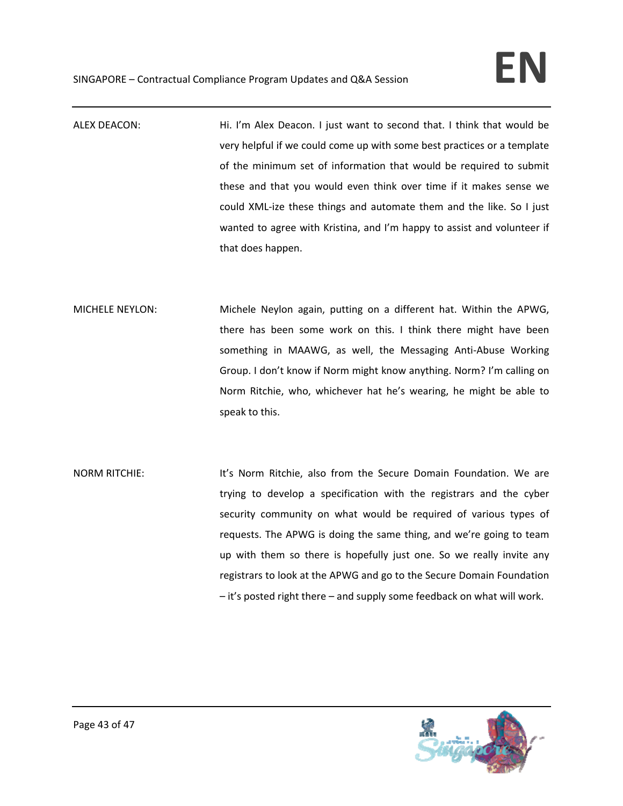- ALEX DEACON: Hi. I'm Alex Deacon. I just want to second that. I think that would be very helpful if we could come up with some best practices or a template of the minimum set of information that would be required to submit these and that you would even think over time if it makes sense we could XML-ize these things and automate them and the like. So I just wanted to agree with Kristina, and I'm happy to assist and volunteer if that does happen.
- MICHELE NEYLON: Michele Neylon again, putting on a different hat. Within the APWG, there has been some work on this. I think there might have been something in MAAWG, as well, the Messaging Anti‐Abuse Working Group. I don't know if Norm might know anything. Norm? I'm calling on Norm Ritchie, who, whichever hat he's wearing, he might be able to speak to this.
- NORM RITCHIE: It's Norm Ritchie, also from the Secure Domain Foundation. We are trying to develop a specification with the registrars and the cyber security community on what would be required of various types of requests. The APWG is doing the same thing, and we're going to team up with them so there is hopefully just one. So we really invite any registrars to look at the APWG and go to the Secure Domain Foundation – it's posted right there – and supply some feedback on what will work.

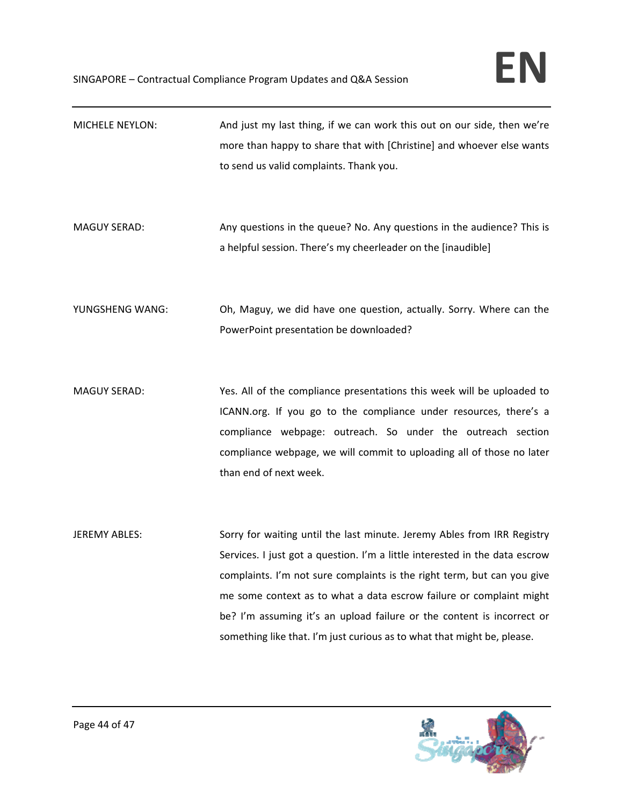| <b>MICHELE NEYLON:</b> | And just my last thing, if we can work this out on our side, then we're<br>more than happy to share that with [Christine] and whoever else wants<br>to send us valid complaints. Thank you.                                                                                                                                                                                                                                                                   |
|------------------------|---------------------------------------------------------------------------------------------------------------------------------------------------------------------------------------------------------------------------------------------------------------------------------------------------------------------------------------------------------------------------------------------------------------------------------------------------------------|
| <b>MAGUY SERAD:</b>    | Any questions in the queue? No. Any questions in the audience? This is<br>a helpful session. There's my cheerleader on the [inaudible]                                                                                                                                                                                                                                                                                                                        |
| YUNGSHENG WANG:        | Oh, Maguy, we did have one question, actually. Sorry. Where can the<br>PowerPoint presentation be downloaded?                                                                                                                                                                                                                                                                                                                                                 |
| <b>MAGUY SERAD:</b>    | Yes. All of the compliance presentations this week will be uploaded to<br>ICANN.org. If you go to the compliance under resources, there's a<br>compliance webpage: outreach. So under the outreach section<br>compliance webpage, we will commit to uploading all of those no later<br>than end of next week.                                                                                                                                                 |
| <b>JEREMY ABLES:</b>   | Sorry for waiting until the last minute. Jeremy Ables from IRR Registry<br>Services. I just got a question. I'm a little interested in the data escrow<br>complaints. I'm not sure complaints is the right term, but can you give<br>me some context as to what a data escrow failure or complaint might<br>be? I'm assuming it's an upload failure or the content is incorrect or<br>something like that. I'm just curious as to what that might be, please. |

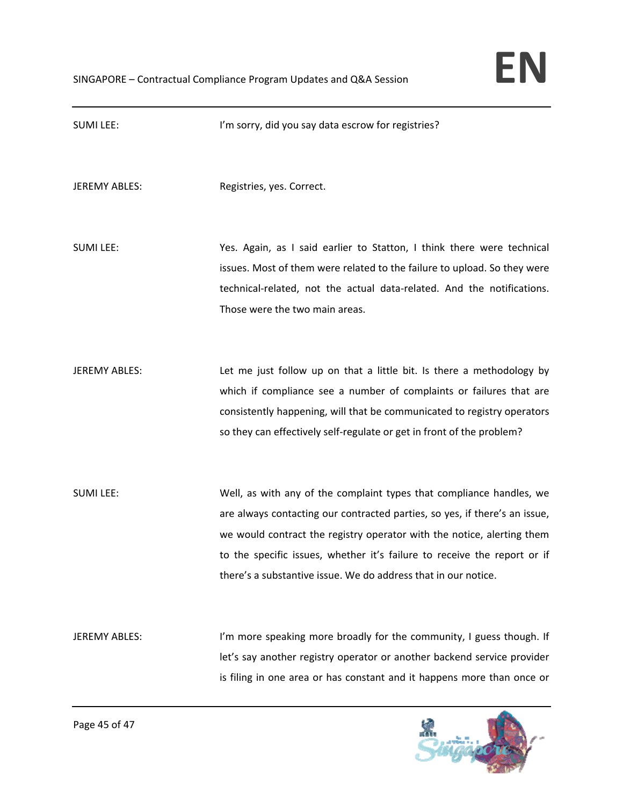

| <b>SUMI LEE:</b>     | I'm sorry, did you say data escrow for registries?                                                                                                                                                                                                                                                                                                                         |
|----------------------|----------------------------------------------------------------------------------------------------------------------------------------------------------------------------------------------------------------------------------------------------------------------------------------------------------------------------------------------------------------------------|
| <b>JEREMY ABLES:</b> | Registries, yes. Correct.                                                                                                                                                                                                                                                                                                                                                  |
| <b>SUMI LEE:</b>     | Yes. Again, as I said earlier to Statton, I think there were technical<br>issues. Most of them were related to the failure to upload. So they were<br>technical-related, not the actual data-related. And the notifications.<br>Those were the two main areas.                                                                                                             |
| <b>JEREMY ABLES:</b> | Let me just follow up on that a little bit. Is there a methodology by<br>which if compliance see a number of complaints or failures that are<br>consistently happening, will that be communicated to registry operators<br>so they can effectively self-regulate or get in front of the problem?                                                                           |
| <b>SUMI LEE:</b>     | Well, as with any of the complaint types that compliance handles, we<br>are always contacting our contracted parties, so yes, if there's an issue,<br>we would contract the registry operator with the notice, alerting them<br>to the specific issues, whether it's failure to receive the report or if<br>there's a substantive issue. We do address that in our notice. |
| <b>JEREMY ABLES:</b> | I'm more speaking more broadly for the community, I guess though. If<br>let's say another registry operator or another backend service provider<br>is filing in one area or has constant and it happens more than once or                                                                                                                                                  |

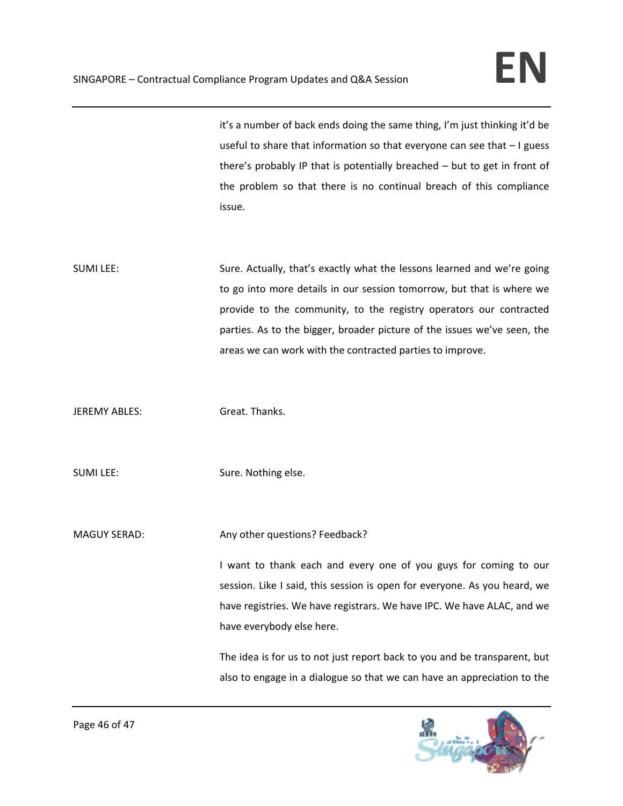it's a number of back ends doing the same thing, I'm just thinking it'd be useful to share that information so that everyone can see that – I guess there's probably IP that is potentially breached – but to get in front of the problem so that there is no continual breach of this compliance issue.

SUMI LEE: Sure. Actually, that's exactly what the lessons learned and we're going to go into more details in our session tomorrow, but that is where we provide to the community, to the registry operators our contracted parties. As to the bigger, broader picture of the issues we've seen, the areas we can work with the contracted parties to improve.

JEREMY ABLES: Great. Thanks.

SUMI LEE: SUMI LEE:

MAGUY SERAD: Any other questions? Feedback?

I want to thank each and every one of you guys for coming to our session. Like I said, this session is open for everyone. As you heard, we have registries. We have registrars. We have IPC. We have ALAC, and we have everybody else here.

The idea is for us to not just report back to you and be transparent, but also to engage in a dialogue so that we can have an appreciation to the